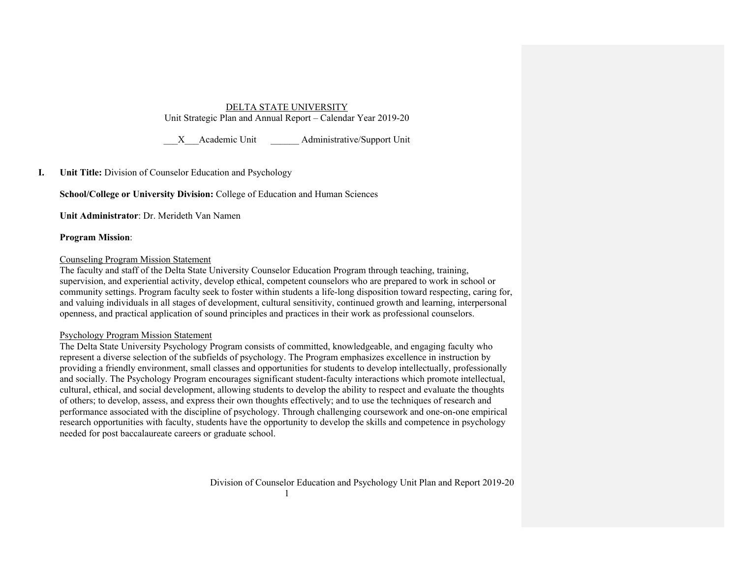# DELTA STATE UNIVERSITY Unit Strategic Plan and Annual Report – Calendar Year 2019-20

\_\_\_X\_\_\_Academic Unit \_\_\_\_\_\_ Administrative/Support Unit

# **I. Unit Title:** Division of Counselor Education and Psychology

**School/College or University Division:** College of Education and Human Sciences

**Unit Administrator**: Dr. Merideth Van Namen

#### **Program Mission**:

#### Counseling Program Mission Statement

The faculty and staff of the Delta State University Counselor Education Program through teaching, training, supervision, and experiential activity, develop ethical, competent counselors who are prepared to work in school or community settings. Program faculty seek to foster within students a life-long disposition toward respecting, caring for, and valuing individuals in all stages of development, cultural sensitivity, continued growth and learning, interpersonal openness, and practical application of sound principles and practices in their work as professional counselors.

# Psychology Program Mission Statement

The Delta State University Psychology Program consists of committed, knowledgeable, and engaging faculty who represent a diverse selection of the subfields of psychology. The Program emphasizes excellence in instruction by providing a friendly environment, small classes and opportunities for students to develop intellectually, professionally and socially. The Psychology Program encourages significant student-faculty interactions which promote intellectual, cultural, ethical, and social development, allowing students to develop the ability to respect and evaluate the thoughts of others; to develop, assess, and express their own thoughts effectively; and to use the techniques of research and performance associated with the discipline of psychology. Through challenging coursework and one-on-one empirical research opportunities with faculty, students have the opportunity to develop the skills and competence in psychology needed for post baccalaureate careers or graduate school.

1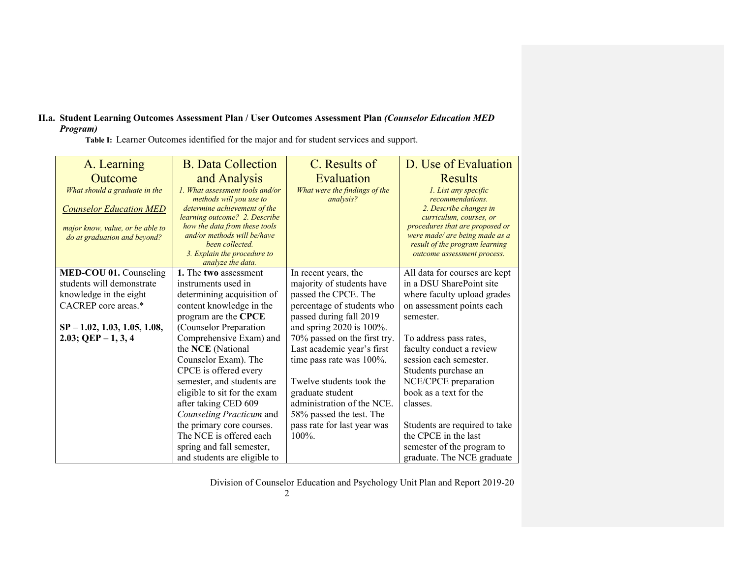#### **II.a. Student Learning Outcomes Assessment Plan / User Outcomes Assessment Plan** *(Counselor Education MED Program)*

A. Learning **Outcome** *What should a graduate in the Counselor Education MED major know, value, or be able to do at graduation and beyond?* B. Data Collection and Analysis *1. What assessment tools and/or methods will you use to determine achievement of the learning outcome? 2. Describe how the data from these tools and/or methods will be/have been collected. 3. Explain the procedure to analyze the data.* C. Results of Evaluation *What were the findings of the analysis?* D. Use of Evaluation Results *1. List any specific recommendations. 2. Describe changes in curriculum, courses, or procedures that are proposed or were made/ are being made as a result of the program learning outcome assessment process.* **MED-COU 01.** Counseling students will demonstrate knowledge in the eight CACREP core areas.\* **SP – 1.02, 1.03, 1.05, 1.08, 2.03; QEP – 1, 3, 4 1.** The **two** assessment instruments used in determining acquisition of content knowledge in the program are the **CPCE** (Counselor Preparation Comprehensive Exam) and the **NCE** (National Counselor Exam). The CPCE is offered every semester, and students are eligible to sit for the exam after taking CED 609 *Counseling Practicum* and the primary core courses. The NCE is offered each spring and fall semester, and students are eligible to In recent years, the majority of students have passed the CPCE. The percentage of students who passed during fall 2019 and spring 2020 is 100%. 70% passed on the first try. Last academic year's first time pass rate was 100%. Twelve students took the graduate student administration of the NCE. 58% passed the test. The pass rate for last year was 100%. All data for courses are kept in a DSU SharePoint site where faculty upload grades on assessment points each semester. To address pass rates, faculty conduct a review session each semester. Students purchase an NCE/CPCE preparation book as a text for the classes. Students are required to take the CPCE in the last semester of the program to graduate. The NCE graduate

 **Table I:**Learner Outcomes identified for the major and for student services and support.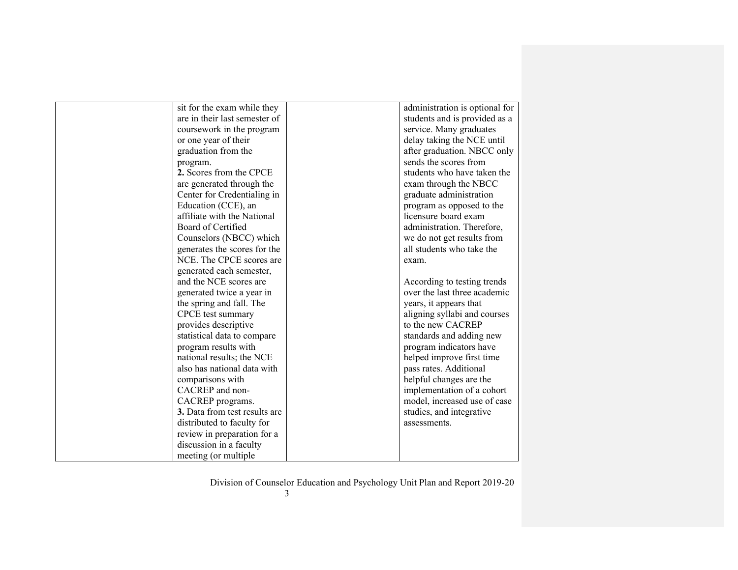| sit for the exam while they   | administration is optional for |
|-------------------------------|--------------------------------|
| are in their last semester of | students and is provided as a  |
| coursework in the program     | service. Many graduates        |
| or one year of their          | delay taking the NCE until     |
| graduation from the           | after graduation. NBCC only    |
| program.                      | sends the scores from          |
| 2. Scores from the CPCE       | students who have taken the    |
| are generated through the     | exam through the NBCC          |
| Center for Credentialing in   | graduate administration        |
| Education (CCE), an           | program as opposed to the      |
| affiliate with the National   | licensure board exam           |
| Board of Certified            | administration. Therefore,     |
| Counselors (NBCC) which       | we do not get results from     |
| generates the scores for the  | all students who take the      |
| NCE. The CPCE scores are      | exam.                          |
| generated each semester,      |                                |
| and the NCE scores are        | According to testing trends    |
| generated twice a year in     | over the last three academic   |
| the spring and fall. The      | years, it appears that         |
| CPCE test summary             | aligning syllabi and courses   |
| provides descriptive          | to the new CACREP              |
| statistical data to compare   | standards and adding new       |
| program results with          | program indicators have        |
| national results; the NCE     | helped improve first time      |
| also has national data with   | pass rates. Additional         |
| comparisons with              | helpful changes are the        |
| CACREP and non-               | implementation of a cohort     |
| CACREP programs.              | model, increased use of case   |
| 3. Data from test results are | studies, and integrative       |
| distributed to faculty for    | assessments.                   |
| review in preparation for a   |                                |
| discussion in a faculty       |                                |
| meeting (or multiple          |                                |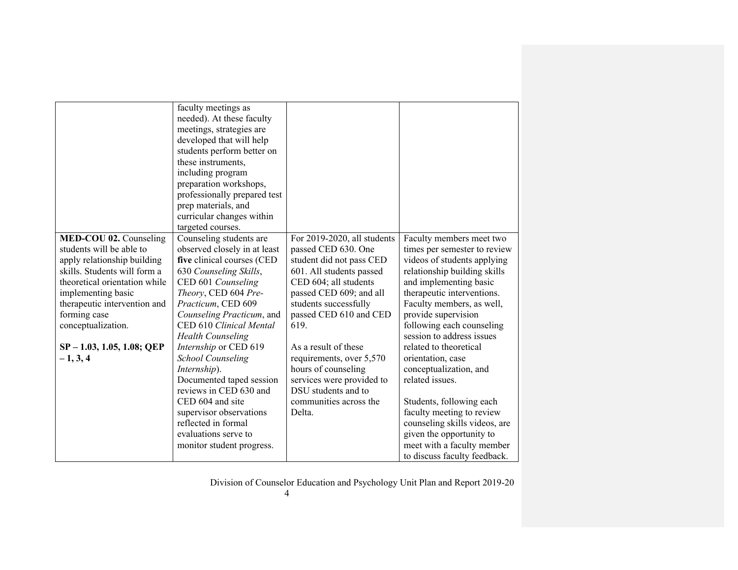|                               | faculty meetings as          |                             |                               |
|-------------------------------|------------------------------|-----------------------------|-------------------------------|
|                               |                              |                             |                               |
|                               | needed). At these faculty    |                             |                               |
|                               | meetings, strategies are     |                             |                               |
|                               | developed that will help     |                             |                               |
|                               | students perform better on   |                             |                               |
|                               | these instruments,           |                             |                               |
|                               | including program            |                             |                               |
|                               | preparation workshops,       |                             |                               |
|                               | professionally prepared test |                             |                               |
|                               | prep materials, and          |                             |                               |
|                               | curricular changes within    |                             |                               |
|                               | targeted courses.            |                             |                               |
| MED-COU 02. Counseling        | Counseling students are      | For 2019-2020, all students | Faculty members meet two      |
| students will be able to      | observed closely in at least | passed CED 630. One         | times per semester to review  |
| apply relationship building   | five clinical courses (CED   | student did not pass CED    | videos of students applying   |
| skills. Students will form a  | 630 Counseling Skills,       | 601. All students passed    | relationship building skills  |
| theoretical orientation while | CED 601 Counseling           | CED 604; all students       | and implementing basic        |
| implementing basic            | Theory, CED 604 Pre-         | passed CED 609; and all     | therapeutic interventions.    |
| therapeutic intervention and  | Practicum, CED 609           | students successfully       | Faculty members, as well,     |
| forming case                  | Counseling Practicum, and    | passed CED 610 and CED      | provide supervision           |
| conceptualization.            | CED 610 Clinical Mental      | 619.                        | following each counseling     |
|                               | <b>Health Counseling</b>     |                             | session to address issues     |
| $SP - 1.03, 1.05, 1.08; QEP$  | Internship or CED 619        | As a result of these        | related to theoretical        |
| $-1, 3, 4$                    | <b>School Counseling</b>     | requirements, over 5,570    | orientation, case             |
|                               | Internship).                 | hours of counseling         | conceptualization, and        |
|                               | Documented taped session     | services were provided to   | related issues.               |
|                               | reviews in CED 630 and       | DSU students and to         |                               |
|                               | CED 604 and site             | communities across the      | Students, following each      |
|                               | supervisor observations      | Delta.                      | faculty meeting to review     |
|                               | reflected in formal          |                             | counseling skills videos, are |
|                               | evaluations serve to         |                             | given the opportunity to      |
|                               | monitor student progress.    |                             | meet with a faculty member    |
|                               |                              |                             | to discuss faculty feedback.  |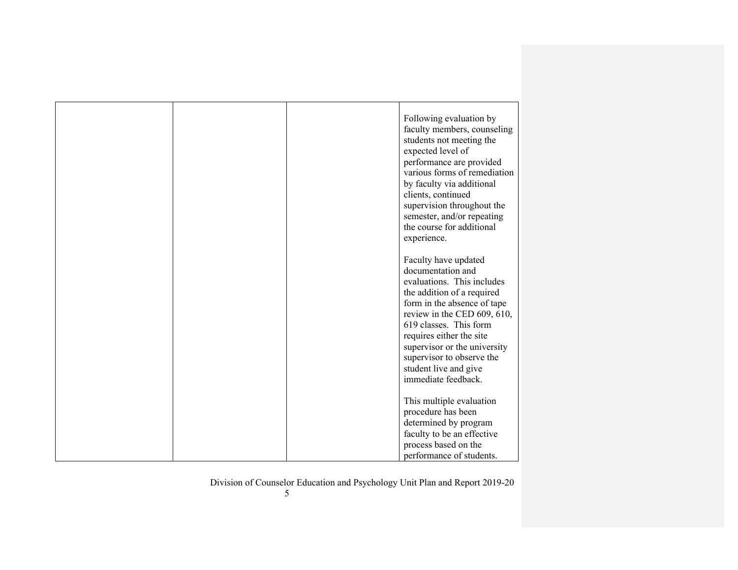|  | Following evaluation by<br>faculty members, counseling<br>students not meeting the<br>expected level of<br>performance are provided<br>various forms of remediation<br>by faculty via additional<br>clients, continued<br>supervision throughout the<br>semester, and/or repeating<br>the course for additional<br>experience.<br>Faculty have updated<br>documentation and<br>evaluations. This includes<br>the addition of a required<br>form in the absence of tape<br>review in the CED 609, 610,<br>619 classes. This form<br>requires either the site<br>supervisor or the university<br>supervisor to observe the |
|--|--------------------------------------------------------------------------------------------------------------------------------------------------------------------------------------------------------------------------------------------------------------------------------------------------------------------------------------------------------------------------------------------------------------------------------------------------------------------------------------------------------------------------------------------------------------------------------------------------------------------------|
|  | student live and give<br>immediate feedback.                                                                                                                                                                                                                                                                                                                                                                                                                                                                                                                                                                             |
|  | This multiple evaluation<br>procedure has been<br>determined by program<br>faculty to be an effective<br>process based on the<br>performance of students.                                                                                                                                                                                                                                                                                                                                                                                                                                                                |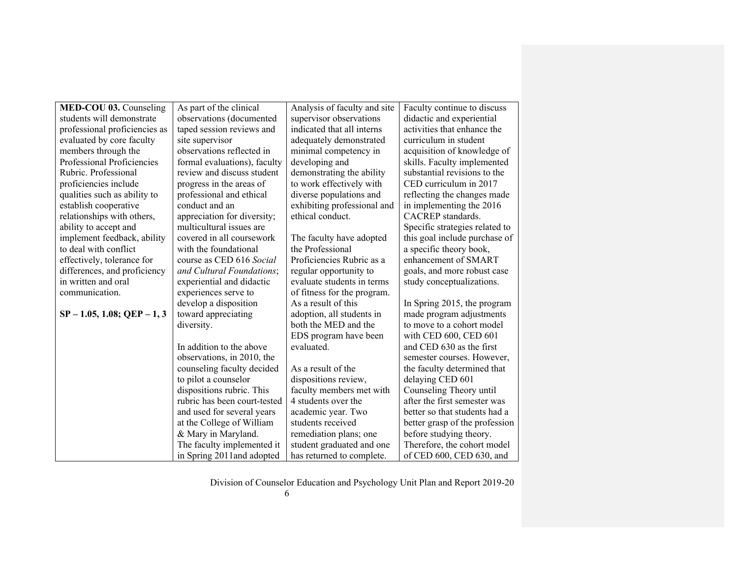| MED-COU 03. Counseling         | As part of the clinical      | Analysis of faculty and site | Faculty continue to discuss    |
|--------------------------------|------------------------------|------------------------------|--------------------------------|
| students will demonstrate      | observations (documented     | supervisor observations      | didactic and experiential      |
| professional proficiencies as  | taped session reviews and    | indicated that all interns   | activities that enhance the    |
| evaluated by core faculty      | site supervisor              | adequately demonstrated      | curriculum in student          |
| members through the            | observations reflected in    | minimal competency in        | acquisition of knowledge of    |
| Professional Proficiencies     | formal evaluations), faculty | developing and               | skills. Faculty implemented    |
| Rubric. Professional           | review and discuss student   | demonstrating the ability    | substantial revisions to the   |
| proficiencies include          | progress in the areas of     | to work effectively with     | CED curriculum in 2017         |
| qualities such as ability to   | professional and ethical     | diverse populations and      | reflecting the changes made    |
| establish cooperative          | conduct and an               | exhibiting professional and  | in implementing the 2016       |
| relationships with others,     | appreciation for diversity;  | ethical conduct.             | CACREP standards.              |
| ability to accept and          | multicultural issues are     |                              | Specific strategies related to |
| implement feedback, ability    | covered in all coursework    | The faculty have adopted     | this goal include purchase of  |
| to deal with conflict          | with the foundational        | the Professional             | a specific theory book,        |
| effectively, tolerance for     | course as CED 616 Social     | Proficiencies Rubric as a    | enhancement of SMART           |
| differences, and proficiency   | and Cultural Foundations;    | regular opportunity to       | goals, and more robust case    |
| in written and oral            | experiential and didactic    | evaluate students in terms   | study conceptualizations.      |
| communication.                 | experiences serve to         | of fitness for the program.  |                                |
|                                | develop a disposition        | As a result of this          | In Spring 2015, the program    |
| $SP - 1.05$ , 1.08; QEP - 1, 3 | toward appreciating          | adoption, all students in    | made program adjustments       |
|                                | diversity.                   | both the MED and the         | to move to a cohort model      |
|                                |                              | EDS program have been        | with CED 600, CED 601          |
|                                | In addition to the above     | evaluated.                   | and CED 630 as the first       |
|                                | observations, in 2010, the   |                              | semester courses. However,     |
|                                | counseling faculty decided   | As a result of the           | the faculty determined that    |
|                                | to pilot a counselor         | dispositions review,         | delaying CED 601               |
|                                | dispositions rubric. This    | faculty members met with     | Counseling Theory until        |
|                                | rubric has been court-tested | 4 students over the          | after the first semester was   |
|                                | and used for several years   | academic year. Two           | better so that students had a  |
|                                | at the College of William    | students received            | better grasp of the profession |
|                                | & Mary in Maryland.          | remediation plans; one       | before studying theory.        |
|                                | The faculty implemented it   | student graduated and one    | Therefore, the cohort model    |
|                                | in Spring 2011 and adopted   | has returned to complete.    | of CED 600, CED 630, and       |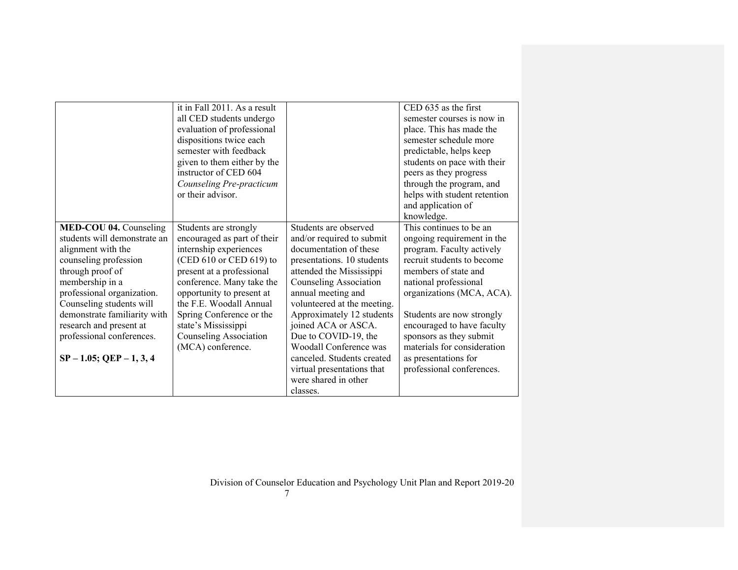|                              | it in Fall 2011. As a result |                             | CED 635 as the first         |
|------------------------------|------------------------------|-----------------------------|------------------------------|
|                              | all CED students undergo     |                             | semester courses is now in   |
|                              | evaluation of professional   |                             | place. This has made the     |
|                              | dispositions twice each      |                             | semester schedule more       |
|                              | semester with feedback       |                             | predictable, helps keep      |
|                              | given to them either by the  |                             | students on pace with their  |
|                              | instructor of CED 604        |                             | peers as they progress       |
|                              | Counseling Pre-practicum     |                             | through the program, and     |
|                              | or their advisor.            |                             | helps with student retention |
|                              |                              |                             | and application of           |
|                              |                              |                             | knowledge.                   |
| MED-COU 04. Counseling       | Students are strongly        | Students are observed       | This continues to be an      |
| students will demonstrate an | encouraged as part of their  | and/or required to submit   | ongoing requirement in the   |
| alignment with the           | internship experiences       | documentation of these      | program. Faculty actively    |
| counseling profession        | (CED 610 or CED 619) to      | presentations. 10 students  | recruit students to become   |
| through proof of             | present at a professional    | attended the Mississippi    | members of state and         |
| membership in a              | conference. Many take the    | Counseling Association      | national professional        |
| professional organization.   | opportunity to present at    | annual meeting and          | organizations (MCA, ACA).    |
| Counseling students will     | the F.E. Woodall Annual      | volunteered at the meeting. |                              |
| demonstrate familiarity with | Spring Conference or the     | Approximately 12 students   | Students are now strongly    |
| research and present at      | state's Mississippi          | joined ACA or ASCA.         | encouraged to have faculty   |
| professional conferences.    | Counseling Association       | Due to COVID-19, the        | sponsors as they submit      |
|                              | (MCA) conference.            | Woodall Conference was      | materials for consideration  |
| $SP - 1.05$ ; QEP $-1, 3, 4$ |                              | canceled. Students created  | as presentations for         |
|                              |                              | virtual presentations that  | professional conferences.    |
|                              |                              | were shared in other        |                              |
|                              |                              | classes.                    |                              |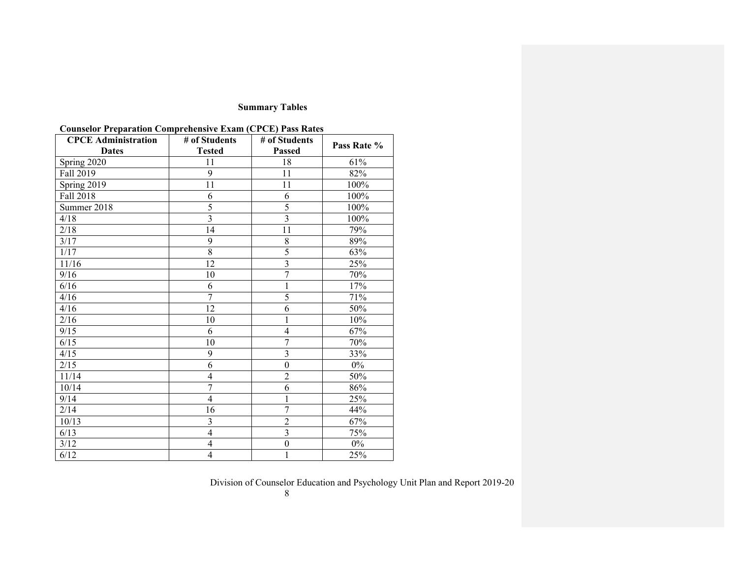# **Summary Tables**

| <b>CPCE</b> Administration | # of Students           | # of Students           | Pass Rate % |
|----------------------------|-------------------------|-------------------------|-------------|
| <b>Dates</b>               | <b>Tested</b>           | <b>Passed</b>           |             |
| Spring 2020                | 11                      | 18                      | 61%         |
| Fall 2019                  | 9                       | 11                      | 82%         |
| Spring 2019                | 11                      | 11                      | 100%        |
| Fall 2018                  | 6                       | 6                       | 100%        |
| Summer 2018                | 5                       | 5                       | $100\%$     |
| 4/18                       | $\overline{3}$          | $\overline{3}$          | 100%        |
| 2/18                       | 14                      | 11                      | 79%         |
| 3/17                       | 9                       | $\,8\,$                 | 89%         |
| 1/17                       | $\overline{8}$          | 5                       | 63%         |
| 11/16                      | 12                      | $\overline{3}$          | 25%         |
| 9/16                       | 10                      | $\overline{7}$          | 70%         |
| 6/16                       | 6                       | 1                       | 17%         |
| 4/16                       | 7                       | 5                       | 71%         |
| 4/16                       | 12                      | 6                       | 50%         |
| 2/16                       | 10                      | 1                       | 10%         |
| 9/15                       | 6                       | $\overline{4}$          | 67%         |
| 6/15                       | 10                      | $\overline{7}$          | 70%         |
| 4/15                       | 9                       | $\overline{\mathbf{3}}$ | 33%         |
| 2/15                       | 6                       | $\mathbf{0}$            | $0\%$       |
| 11/14                      | 4                       | $\overline{2}$          | 50%         |
| 10/14                      | $\overline{7}$          | 6                       | 86%         |
| 9/14                       | $\overline{4}$          | 1                       | 25%         |
| 2/14                       | 16                      | 7                       | 44%         |
| 10/13                      | $\overline{\mathbf{3}}$ | $\overline{2}$          | 67%         |
| 6/13                       | $\overline{4}$          | $\overline{3}$          | 75%         |
| 3/12                       | $\overline{4}$          | $\boldsymbol{0}$        | $0\%$       |
| 6/12                       | $\overline{4}$          | 1                       | 25%         |

# **Counselor Preparation Comprehensive Exam (CPCE) Pass Rates**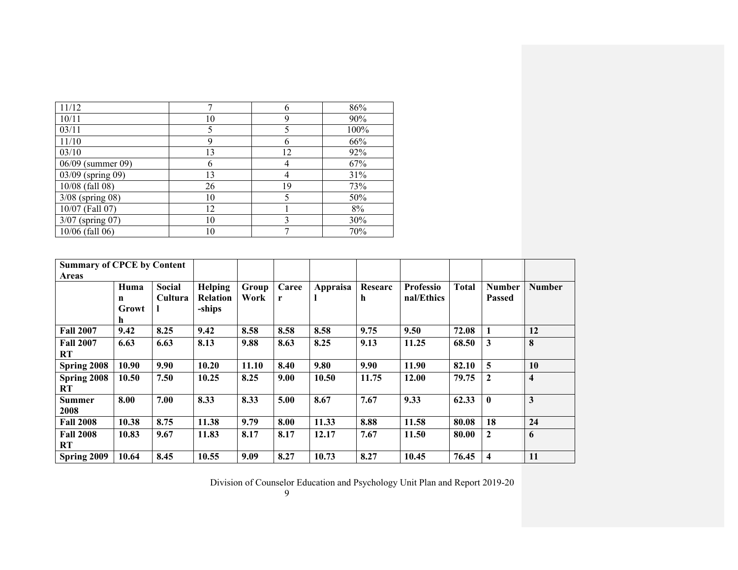| 11/12              | 7  | 6  | 86%  |
|--------------------|----|----|------|
| 10/11              | 10 | 9  | 90%  |
| 03/11              | 5  | 5  | 100% |
| 11/10              | 9  | 6  | 66%  |
| 03/10              | 13 | 12 | 92%  |
| 06/09 (summer 09)  | 6  | 4  | 67%  |
| 03/09 (spring 09)  | 13 | 4  | 31%  |
| 10/08 (fall 08)    | 26 | 19 | 73%  |
| $3/08$ (spring 08) | 10 | 5  | 50%  |
| 10/07 (Fall 07)    | 12 |    | 8%   |
| $3/07$ (spring 07) | 10 | 3  | 30%  |
| 10/06 (fall 06)    | 10 | 7  | 70%  |

| <b>Summary of CPCE by Content</b> |       |               |                 |       |       |          |         |                  |              |                  |                         |
|-----------------------------------|-------|---------------|-----------------|-------|-------|----------|---------|------------------|--------------|------------------|-------------------------|
| <b>Areas</b>                      |       |               |                 |       |       |          |         |                  |              |                  |                         |
|                                   | Huma  | <b>Social</b> | Helping         | Group | Caree | Appraisa | Researc | <b>Professio</b> | <b>Total</b> | <b>Number</b>    | <b>Number</b>           |
|                                   | n     | Cultura       | <b>Relation</b> | Work  | r     |          | h       | nal/Ethics       |              | <b>Passed</b>    |                         |
|                                   | Growt |               | -ships          |       |       |          |         |                  |              |                  |                         |
|                                   | h     |               |                 |       |       |          |         |                  |              |                  |                         |
| <b>Fall 2007</b>                  | 9.42  | 8.25          | 9.42            | 8.58  | 8.58  | 8.58     | 9.75    | 9.50             | 72.08        | 1                | 12                      |
| <b>Fall 2007</b>                  | 6.63  | 6.63          | 8.13            | 9.88  | 8.63  | 8.25     | 9.13    | 11.25            | 68.50        | 3                | 8                       |
| RT                                |       |               |                 |       |       |          |         |                  |              |                  |                         |
| Spring 2008                       | 10.90 | 9.90          | 10.20           | 11.10 | 8.40  | 9.80     | 9.90    | 11.90            | 82.10        | 5                | 10                      |
| Spring 2008                       | 10.50 | 7.50          | 10.25           | 8.25  | 9.00  | 10.50    | 11.75   | 12.00            | 79.75        | $\boldsymbol{2}$ | $\overline{\mathbf{4}}$ |
| RT                                |       |               |                 |       |       |          |         |                  |              |                  |                         |
| <b>Summer</b>                     | 8.00  | 7.00          | 8.33            | 8.33  | 5.00  | 8.67     | 7.67    | 9.33             | 62.33        | $\boldsymbol{0}$ | 3                       |
| 2008                              |       |               |                 |       |       |          |         |                  |              |                  |                         |
| <b>Fall 2008</b>                  | 10.38 | 8.75          | 11.38           | 9.79  | 8.00  | 11.33    | 8.88    | 11.58            | 80.08        | 18               | 24                      |
| <b>Fall 2008</b>                  | 10.83 | 9.67          | 11.83           | 8.17  | 8.17  | 12.17    | 7.67    | 11.50            | 80.00        | 2                | 6                       |
| <b>RT</b>                         |       |               |                 |       |       |          |         |                  |              |                  |                         |
| Spring 2009                       | 10.64 | 8.45          | 10.55           | 9.09  | 8.27  | 10.73    | 8.27    | 10.45            | 76.45        | 4                | 11                      |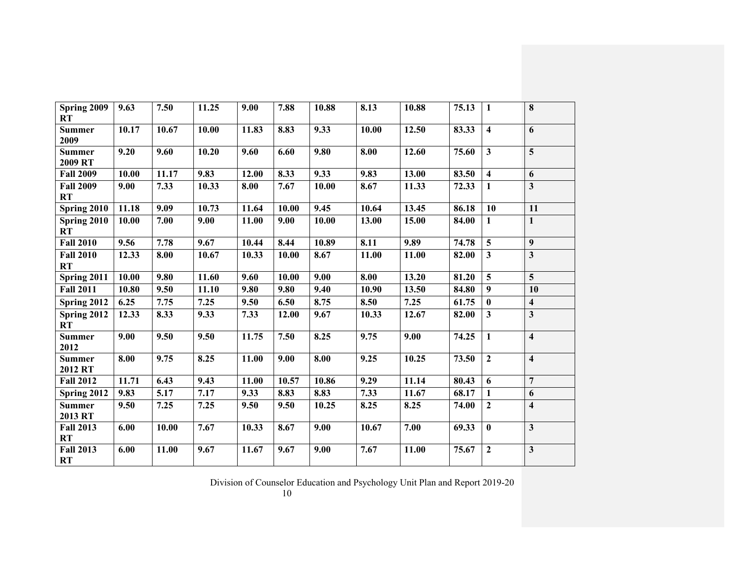| Spring 2009<br>RT             | 9.63  | 7.50  | 11.25             | 9.00  | 7.88  | 10.88 | 8.13  | 10.88 | 75.13 | $\mathbf{1}$            | 8                       |
|-------------------------------|-------|-------|-------------------|-------|-------|-------|-------|-------|-------|-------------------------|-------------------------|
| <b>Summer</b><br>2009         | 10.17 | 10.67 | 10.00             | 11.83 | 8.83  | 9.33  | 10.00 | 12.50 | 83.33 | $\overline{\mathbf{4}}$ | 6                       |
| <b>Summer</b><br>2009 RT      | 9.20  | 9.60  | 10.20             | 9.60  | 6.60  | 9.80  | 8.00  | 12.60 | 75.60 | $\mathbf{3}$            | 5                       |
| <b>Fall 2009</b>              | 10.00 | 11.17 | 9.83              | 12.00 | 8.33  | 9.33  | 9.83  | 13.00 | 83.50 | $\overline{\mathbf{4}}$ | 6                       |
| <b>Fall 2009</b><br>RT        | 9.00  | 7.33  | 10.33             | 8.00  | 7.67  | 10.00 | 8.67  | 11.33 | 72.33 | 1                       | 3                       |
| Spring 2010                   | 11.18 | 9.09  | 10.73             | 11.64 | 10.00 | 9.45  | 10.64 | 13.45 | 86.18 | $\overline{10}$         | 11                      |
| Spring 2010<br>RT             | 10.00 | 7.00  | 9.00              | 11.00 | 9.00  | 10.00 | 13.00 | 15.00 | 84.00 | $\mathbf{1}$            | $\mathbf{1}$            |
| <b>Fall 2010</b>              | 9.56  | 7.78  | $\overline{9.67}$ | 10.44 | 8.44  | 10.89 | 8.11  | 9.89  | 74.78 | $\overline{5}$          | 9                       |
| <b>Fall 2010</b><br><b>RT</b> | 12.33 | 8.00  | 10.67             | 10.33 | 10.00 | 8.67  | 11.00 | 11.00 | 82.00 | $\mathbf{3}$            | $\overline{\mathbf{3}}$ |
| Spring 2011                   | 10.00 | 9.80  | 11.60             | 9.60  | 10.00 | 9.00  | 8.00  | 13.20 | 81.20 |                         | $\overline{5}$          |
| <b>Fall 2011</b>              | 10.80 | 9.50  | 11.10             | 9.80  | 9.80  | 9.40  | 10.90 | 13.50 | 84.80 | $\boldsymbol{9}$        | 10                      |
| Spring 2012                   | 6.25  | 7.75  | 7.25              | 9.50  | 6.50  | 8.75  | 8.50  | 7.25  | 61.75 | $\bf{0}$                | $\overline{\mathbf{4}}$ |
| Spring 2012<br>RT             | 12.33 | 8.33  | 9.33              | 7.33  | 12.00 | 9.67  | 10.33 | 12.67 | 82.00 | $\mathbf{3}$            | 3                       |
| <b>Summer</b><br>2012         | 9.00  | 9.50  | 9.50              | 11.75 | 7.50  | 8.25  | 9.75  | 9.00  | 74.25 | $\overline{1}$          | $\overline{\mathbf{4}}$ |
| <b>Summer</b><br>2012 RT      | 8.00  | 9.75  | 8.25              | 11.00 | 9.00  | 8.00  | 9.25  | 10.25 | 73.50 | $\overline{2}$          | $\overline{\mathbf{4}}$ |
| <b>Fall 2012</b>              | 11.71 | 6.43  | 9.43              | 11.00 | 10.57 | 10.86 | 9.29  | 11.14 | 80.43 | 6                       | $\overline{7}$          |
| Spring 2012                   | 9.83  | 5.17  | 7.17              | 9.33  | 8.83  | 8.83  | 7.33  | 11.67 | 68.17 | $\mathbf{1}$            | 6                       |
| <b>Summer</b><br>2013 RT      | 9.50  | 7.25  | 7.25              | 9.50  | 9.50  | 10.25 | 8.25  | 8.25  | 74.00 | $\overline{2}$          | $\overline{\mathbf{4}}$ |
| <b>Fall 2013</b><br><b>RT</b> | 6.00  | 10.00 | 7.67              | 10.33 | 8.67  | 9.00  | 10.67 | 7.00  | 69.33 | $\mathbf{0}$            | $\overline{\mathbf{3}}$ |
| <b>Fall 2013</b><br>RT        | 6.00  | 11.00 | 9.67              | 11.67 | 9.67  | 9.00  | 7.67  | 11.00 | 75.67 | $\overline{2}$          | 3                       |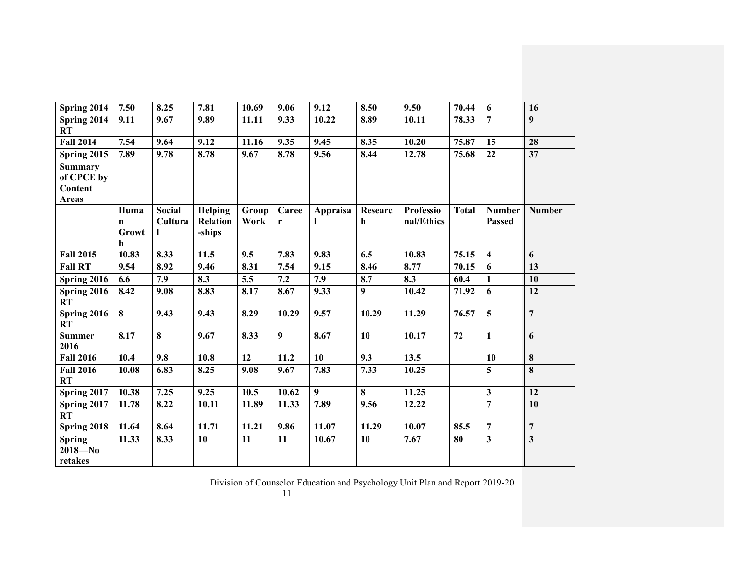| Spring 2014                             | 7.50                              | 8.25                          | 7.81                                        | 10.69         | 9.06           | 9.12             | 8.50                    | 9.50                           | 70.44           | 6                       | 16                      |
|-----------------------------------------|-----------------------------------|-------------------------------|---------------------------------------------|---------------|----------------|------------------|-------------------------|--------------------------------|-----------------|-------------------------|-------------------------|
| Spring 2014<br><b>RT</b>                | 9.11                              | 9.67                          | 9.89                                        | 11.11         | 9.33           | 10.22            | 8.89                    | 10.11                          | 78.33           | $\overline{7}$          | 9                       |
| <b>Fall 2014</b>                        | 7.54                              | 9.64                          | 9.12                                        | 11.16         | 9.35           | 9.45             | 8.35                    | 10.20                          | 75.87           | 15                      | 28                      |
| Spring 2015                             | 7.89                              | 9.78                          | 8.78                                        | 9.67          | 8.78           | 9.56             | 8.44                    | 12.78                          | 75.68           | 22                      | 37                      |
| <b>Summary</b><br>of CPCE by<br>Content |                                   |                               |                                             |               |                |                  |                         |                                |                 |                         |                         |
| <b>Areas</b>                            |                                   |                               |                                             |               |                |                  |                         |                                |                 |                         |                         |
|                                         | Huma<br>$\mathbf n$<br>Growt<br>h | <b>Social</b><br>Cultura<br>1 | <b>Helping</b><br><b>Relation</b><br>-ships | Group<br>Work | Caree<br>r     | Appraisa         | Researc<br>$\mathbf{h}$ | <b>Professio</b><br>nal/Ethics | <b>Total</b>    | <b>Number</b><br>Passed | <b>Number</b>           |
| <b>Fall 2015</b>                        | 10.83                             | 8.33                          | 11.5                                        | 9.5           | 7.83           | 9.83             | 6.5                     | 10.83                          | 75.15           | $\overline{\mathbf{4}}$ | 6                       |
| <b>Fall RT</b>                          | 9.54                              | 8.92                          | 9.46                                        | 8.31          | 7.54           | 9.15             | 8.46                    | 8.77                           | 70.15           | 6                       | 13                      |
| Spring 2016                             | 6.6                               | 7.9                           | 8.3                                         | 5.5           | 7.2            | 7.9              | 8.7                     | 8.3                            | 60.4            | $\mathbf{1}$            | 10                      |
| Spring 2016<br><b>RT</b>                | 8.42                              | 9.08                          | 8.83                                        | 8.17          | 8.67           | 9.33             | 9                       | 10.42                          | 71.92           | $\overline{6}$          | 12                      |
| Spring 2016<br>RT                       | 8                                 | 9.43                          | 9.43                                        | 8.29          | 10.29          | 9.57             | 10.29                   | 11.29                          | 76.57           | $\overline{5}$          | $\overline{7}$          |
| <b>Summer</b><br>2016                   | 8.17                              | $\overline{\mathbf{8}}$       | 9.67                                        | 8.33          | $\overline{9}$ | 8.67             | 10                      | 10.17                          | $\overline{72}$ | $\mathbf{1}$            | 6                       |
| <b>Fall 2016</b>                        | 10.4                              | 9.8                           | 10.8                                        | 12            | 11.2           | 10               | 9.3                     | 13.5                           |                 | 10                      | 8                       |
| <b>Fall 2016</b><br><b>RT</b>           | 10.08                             | 6.83                          | 8.25                                        | 9.08          | 9.67           | 7.83             | 7.33                    | 10.25                          |                 | 5                       | 8                       |
| Spring 2017                             | 10.38                             | 7.25                          | 9.25                                        | 10.5          | 10.62          | $\boldsymbol{9}$ | 8                       | 11.25                          |                 | 3                       | 12                      |
| Spring 2017<br><b>RT</b>                | 11.78                             | 8.22                          | 10.11                                       | 11.89         | 11.33          | 7.89             | 9.56                    | 12.22                          |                 | $\overline{7}$          | 10                      |
| Spring 2018                             | 11.64                             | 8.64                          | 11.71                                       | 11.21         | 9.86           | 11.07            | 11.29                   | 10.07                          | 85.5            | $\overline{7}$          | $\overline{7}$          |
| <b>Spring</b><br>$2018 - No$<br>retakes | 11.33                             | 8.33                          | 10                                          | 11            | 11             | 10.67            | 10                      | 7.67                           | 80              | $\overline{\mathbf{3}}$ | $\overline{\mathbf{3}}$ |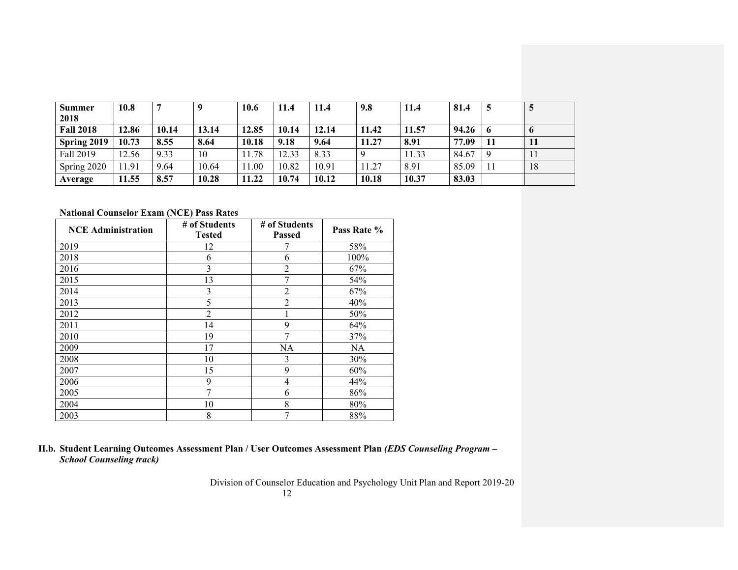| <b>Summer</b>    | 10.8  |       |       | 10.6  | 11.4  | 11.4  | 9.8   | 11.4  | 81.4  | 5  | 5   |
|------------------|-------|-------|-------|-------|-------|-------|-------|-------|-------|----|-----|
| 2018             |       |       |       |       |       |       |       |       |       |    |     |
| <b>Fall 2018</b> | 12.86 | 10.14 | 13.14 | 12.85 | 10.14 | 12.14 | 11.42 | 11.57 | 94.26 | -6 | 6   |
| Spring 2019      | 10.73 | 8.55  | 8.64  | 10.18 | 9.18  | 9.64  | 11.27 | 8.91  | 77.09 |    | -11 |
| Fall 2019        | 12.56 | 9.33  | 10    | 11.78 | 12.33 | 8.33  | 9     | 11.33 | 84.67 | -9 |     |
| Spring 2020      | 11.91 | 9.64  | 10.64 | 11.00 | 10.82 | 10.91 | 11.27 | 8.91  | 85.09 |    | 18  |
| Average          | 11.55 | 8.57  | 10.28 | 11.22 | 10.74 | 10.12 | 10.18 | 10.37 | 83.03 |    |     |

**National Counselor Exam (NCE) Pass Rates**

| <b>NCE</b> Administration | # of Students<br><b>Tested</b> | # of Students<br><b>Passed</b> | Pass Rate % |  |
|---------------------------|--------------------------------|--------------------------------|-------------|--|
| 2019                      | 12                             |                                | 58%         |  |
| 2018                      | 6                              | 6                              | 100%        |  |
| 2016                      | 3                              | $\overline{2}$                 | 67%         |  |
| 2015                      | 13                             | 7                              | 54%         |  |
| 2014                      | 3                              | $\overline{2}$                 | 67%         |  |
| 2013                      | 5                              | $\mathfrak{D}$                 | 40%         |  |
| 2012                      | $\overline{2}$                 |                                | 50%         |  |
| 2011                      | 14                             | 9                              | 64%         |  |
| 2010                      | 19                             | 7                              | 37%         |  |
| 2009                      | 17                             | NA                             | NA          |  |
| 2008                      | 10                             | 3                              | 30%         |  |
| 2007                      | 15                             | 9                              | 60%         |  |
| 2006                      | 9                              | 4                              | 44%         |  |
| 2005                      | $\tau$                         | 6                              | 86%         |  |
| 2004                      | 10                             | 8                              | 80%         |  |
| 2003                      | 8                              |                                | 88%         |  |

**II.b. Student Learning Outcomes Assessment Plan / User Outcomes Assessment Plan** *(EDS Counseling Program – School Counseling track)*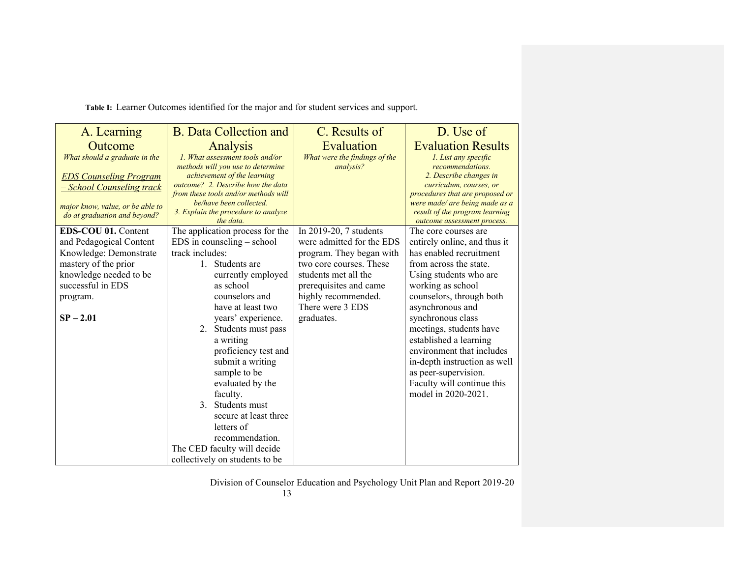**Table I:**Learner Outcomes identified for the major and for student services and support.

| A. Learning                      | <b>B.</b> Data Collection and                                    | C. Results of                 | D. Use of                                           |
|----------------------------------|------------------------------------------------------------------|-------------------------------|-----------------------------------------------------|
| Outcome                          | Analysis                                                         | Evaluation                    | <b>Evaluation Results</b>                           |
| What should a graduate in the    | 1. What assessment tools and/or                                  | What were the findings of the | 1. List any specific                                |
|                                  | methods will you use to determine                                | analysis?                     | recommendations.                                    |
| <b>EDS Counseling Program</b>    | achievement of the learning<br>outcome? 2. Describe how the data |                               | 2. Describe changes in<br>curriculum, courses, or   |
| - School Counseling track        | from these tools and/or methods will                             |                               | procedures that are proposed or                     |
| major know, value, or be able to | be/have been collected.                                          |                               | were made/ are being made as a                      |
| do at graduation and beyond?     | 3. Explain the procedure to analyze<br>the data.                 |                               | result of the program learning                      |
| <b>EDS-COU 01. Content</b>       | The application process for the                                  | In 2019-20, 7 students        | outcome assessment process.<br>The core courses are |
| and Pedagogical Content          | $EDS$ in counseling $-$ school                                   | were admitted for the EDS     | entirely online, and thus it                        |
| Knowledge: Demonstrate           | track includes:                                                  | program. They began with      | has enabled recruitment                             |
| mastery of the prior             | 1. Students are                                                  | two core courses. These       | from across the state.                              |
| knowledge needed to be           | currently employed                                               | students met all the          | Using students who are                              |
| successful in EDS                | as school                                                        | prerequisites and came        | working as school                                   |
| program.                         | counselors and                                                   | highly recommended.           | counselors, through both                            |
|                                  | have at least two                                                | There were 3 EDS              | asynchronous and                                    |
| $SP - 2.01$                      | years' experience.                                               | graduates.                    | synchronous class                                   |
|                                  | Students must pass<br>2.                                         |                               | meetings, students have                             |
|                                  | a writing                                                        |                               | established a learning                              |
|                                  | proficiency test and                                             |                               | environment that includes                           |
|                                  | submit a writing                                                 |                               | in-depth instruction as well                        |
|                                  | sample to be                                                     |                               | as peer-supervision.                                |
|                                  | evaluated by the                                                 |                               | Faculty will continue this<br>model in 2020-2021.   |
|                                  | faculty.<br>Students must<br>3.                                  |                               |                                                     |
|                                  | secure at least three                                            |                               |                                                     |
|                                  | letters of                                                       |                               |                                                     |
|                                  | recommendation.                                                  |                               |                                                     |
|                                  | The CED faculty will decide                                      |                               |                                                     |
|                                  | collectively on students to be                                   |                               |                                                     |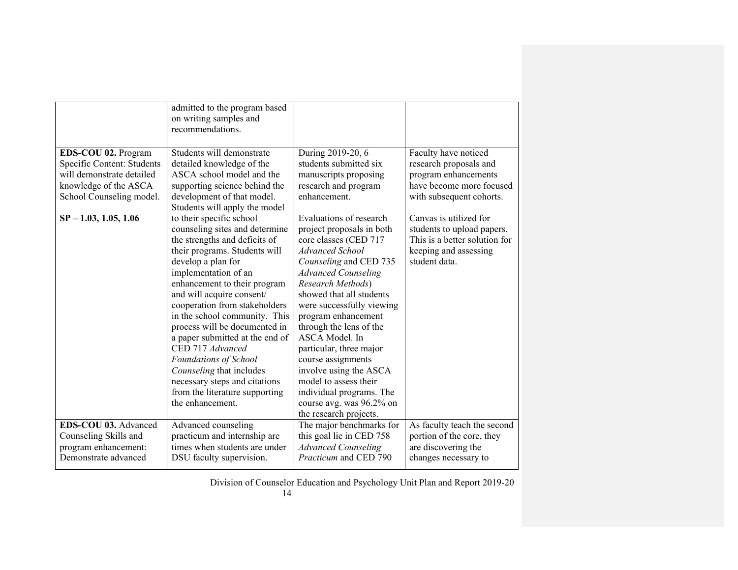|                            | admitted to the program based   |                            |                               |
|----------------------------|---------------------------------|----------------------------|-------------------------------|
|                            | on writing samples and          |                            |                               |
|                            | recommendations.                |                            |                               |
|                            |                                 |                            |                               |
| EDS-COU 02. Program        | Students will demonstrate       | During 2019-20, 6          | Faculty have noticed          |
| Specific Content: Students | detailed knowledge of the       | students submitted six     | research proposals and        |
| will demonstrate detailed  | ASCA school model and the       | manuscripts proposing      | program enhancements          |
| knowledge of the ASCA      | supporting science behind the   | research and program       | have become more focused      |
| School Counseling model.   | development of that model.      | enhancement.               | with subsequent cohorts.      |
|                            | Students will apply the model   |                            |                               |
| $SP - 1.03, 1.05, 1.06$    | to their specific school        | Evaluations of research    | Canvas is utilized for        |
|                            | counseling sites and determine  | project proposals in both  | students to upload papers.    |
|                            | the strengths and deficits of   | core classes (CED 717      | This is a better solution for |
|                            | their programs. Students will   | <b>Advanced School</b>     | keeping and assessing         |
|                            | develop a plan for              | Counseling and CED 735     | student data.                 |
|                            | implementation of an            | <b>Advanced Counseling</b> |                               |
|                            | enhancement to their program    | Research Methods)          |                               |
|                            | and will acquire consent/       | showed that all students   |                               |
|                            | cooperation from stakeholders   | were successfully viewing  |                               |
|                            | in the school community. This   | program enhancement        |                               |
|                            | process will be documented in   | through the lens of the    |                               |
|                            | a paper submitted at the end of | ASCA Model. In             |                               |
|                            | CED 717 Advanced                | particular, three major    |                               |
|                            | Foundations of School           | course assignments         |                               |
|                            | Counseling that includes        | involve using the ASCA     |                               |
|                            | necessary steps and citations   | model to assess their      |                               |
|                            | from the literature supporting  | individual programs. The   |                               |
|                            | the enhancement.                | course avg. was 96.2% on   |                               |
|                            |                                 | the research projects.     |                               |
| EDS-COU 03. Advanced       | Advanced counseling             | The major benchmarks for   | As faculty teach the second   |
| Counseling Skills and      | practicum and internship are    | this goal lie in CED 758   | portion of the core, they     |
| program enhancement:       | times when students are under   | <b>Advanced Counseling</b> | are discovering the           |
| Demonstrate advanced       | DSU faculty supervision.        | Practicum and CED 790      | changes necessary to          |
|                            |                                 |                            |                               |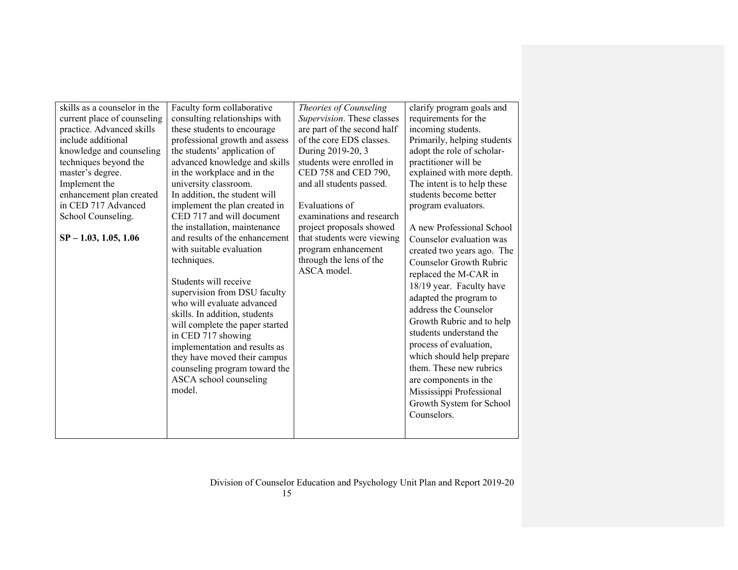| skills as a counselor in the | Faculty form collaborative      | Theories of Counseling      | clarify program goals and      |
|------------------------------|---------------------------------|-----------------------------|--------------------------------|
| current place of counseling  | consulting relationships with   | Supervision. These classes  | requirements for the           |
| practice. Advanced skills    | these students to encourage     | are part of the second half | incoming students.             |
| include additional           | professional growth and assess  | of the core EDS classes.    | Primarily, helping students    |
| knowledge and counseling     | the students' application of    | During 2019-20, 3           | adopt the role of scholar-     |
| techniques beyond the        | advanced knowledge and skills   | students were enrolled in   | practitioner will be           |
| master's degree.             | in the workplace and in the     | CED 758 and CED 790,        | explained with more depth.     |
| Implement the                | university classroom.           | and all students passed.    | The intent is to help these    |
| enhancement plan created     | In addition, the student will   |                             | students become better         |
| in CED 717 Advanced          | implement the plan created in   | Evaluations of              | program evaluators.            |
| School Counseling.           | CED 717 and will document       | examinations and research   |                                |
|                              | the installation, maintenance   | project proposals showed    | A new Professional School      |
| $SP - 1.03, 1.05, 1.06$      | and results of the enhancement  | that students were viewing  | Counselor evaluation was       |
|                              | with suitable evaluation        | program enhancement         | created two years ago. The     |
|                              | techniques.                     | through the lens of the     | <b>Counselor Growth Rubric</b> |
|                              |                                 | ASCA model.                 | replaced the M-CAR in          |
|                              | Students will receive           |                             | 18/19 year. Faculty have       |
|                              | supervision from DSU faculty    |                             | adapted the program to         |
|                              | who will evaluate advanced      |                             | address the Counselor          |
|                              | skills. In addition, students   |                             | Growth Rubric and to help      |
|                              | will complete the paper started |                             | students understand the        |
|                              | in CED 717 showing              |                             | process of evaluation,         |
|                              | implementation and results as   |                             |                                |
|                              | they have moved their campus    |                             | which should help prepare      |
|                              | counseling program toward the   |                             | them. These new rubrics        |
|                              | ASCA school counseling          |                             | are components in the          |
|                              | model.                          |                             | Mississippi Professional       |
|                              |                                 |                             | Growth System for School       |
|                              |                                 |                             | Counselors.                    |
|                              |                                 |                             |                                |
|                              |                                 |                             |                                |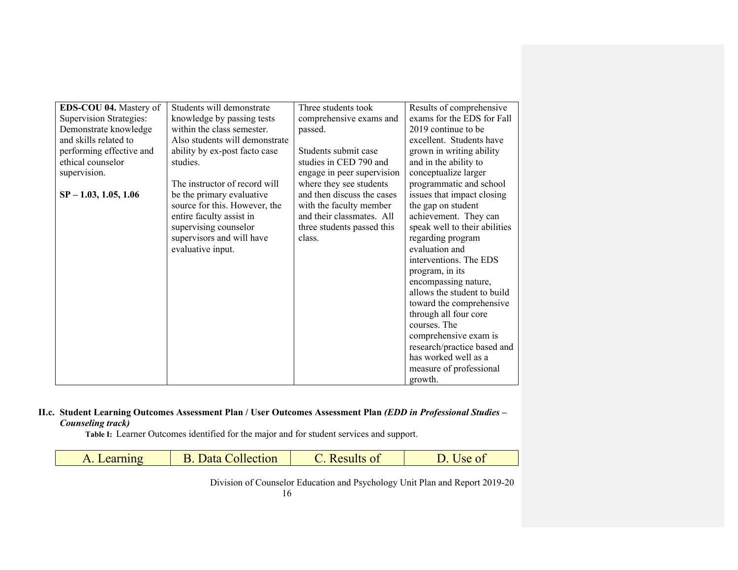| EDS-COU 04. Mastery of         | Students will demonstrate      | Three students took        | Results of comprehensive      |
|--------------------------------|--------------------------------|----------------------------|-------------------------------|
| <b>Supervision Strategies:</b> | knowledge by passing tests     | comprehensive exams and    | exams for the EDS for Fall    |
| Demonstrate knowledge          | within the class semester.     | passed.                    | 2019 continue to be           |
| and skills related to          | Also students will demonstrate |                            | excellent. Students have      |
| performing effective and       | ability by ex-post facto case  | Students submit case       | grown in writing ability      |
| ethical counselor              | studies.                       | studies in CED 790 and     | and in the ability to         |
| supervision.                   |                                | engage in peer supervision | conceptualize larger          |
|                                | The instructor of record will  | where they see students    | programmatic and school       |
| $SP - 1.03, 1.05, 1.06$        | be the primary evaluative      | and then discuss the cases | issues that impact closing    |
|                                | source for this. However, the  | with the faculty member    | the gap on student            |
|                                | entire faculty assist in       | and their classmates. All  | achievement. They can         |
|                                | supervising counselor          | three students passed this | speak well to their abilities |
|                                | supervisors and will have      | class.                     | regarding program             |
|                                | evaluative input.              |                            | evaluation and                |
|                                |                                |                            | interventions. The EDS        |
|                                |                                |                            | program, in its               |
|                                |                                |                            | encompassing nature,          |
|                                |                                |                            | allows the student to build   |
|                                |                                |                            | toward the comprehensive      |
|                                |                                |                            | through all four core         |
|                                |                                |                            | courses. The                  |
|                                |                                |                            | comprehensive exam is         |
|                                |                                |                            | research/practice based and   |
|                                |                                |                            | has worked well as a          |
|                                |                                |                            | measure of professional       |
|                                |                                |                            | growth.                       |

# **II.c. Student Learning Outcomes Assessment Plan / User Outcomes Assessment Plan** *(EDD in Professional Studies – Counseling track)*

 **Table I:**Learner Outcomes identified for the major and for student services and support.

| Learning | Data Collection | $\angle$ . Results of | $-11$ |
|----------|-----------------|-----------------------|-------|
|----------|-----------------|-----------------------|-------|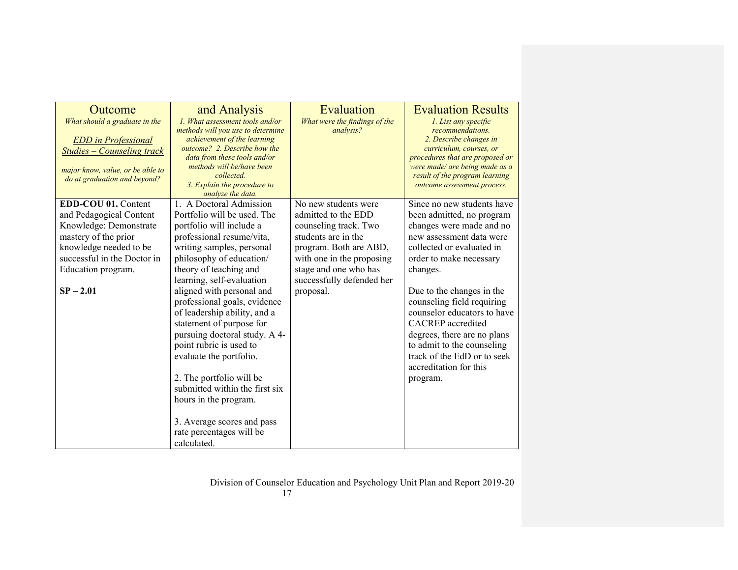| Outcome<br>What should a graduate in the<br><b>EDD</b> in Professional<br><b>Studies - Counseling track</b><br>major know, value, or be able to<br>do at graduation and beyond?                       | and Analysis<br>1. What assessment tools and/or<br>methods will you use to determine<br>achievement of the learning<br>outcome? 2. Describe how the<br>data from these tools and/or<br>methods will be/have been<br>collected.<br>3. Explain the procedure to<br>analyze the data.                                                                                                                                                                                                                                                                                                                              | Evaluation<br>What were the findings of the<br>analysis?                                                                                                                                                              | <b>Evaluation Results</b><br>1. List any specific<br>recommendations.<br>2. Describe changes in<br>curriculum, courses, or<br>procedures that are proposed or<br>were made/ are being made as a<br>result of the program learning<br>outcome assessment process.                                                                                                                                                                            |
|-------------------------------------------------------------------------------------------------------------------------------------------------------------------------------------------------------|-----------------------------------------------------------------------------------------------------------------------------------------------------------------------------------------------------------------------------------------------------------------------------------------------------------------------------------------------------------------------------------------------------------------------------------------------------------------------------------------------------------------------------------------------------------------------------------------------------------------|-----------------------------------------------------------------------------------------------------------------------------------------------------------------------------------------------------------------------|---------------------------------------------------------------------------------------------------------------------------------------------------------------------------------------------------------------------------------------------------------------------------------------------------------------------------------------------------------------------------------------------------------------------------------------------|
| <b>EDD-COU 01. Content</b><br>and Pedagogical Content<br>Knowledge: Demonstrate<br>mastery of the prior<br>knowledge needed to be<br>successful in the Doctor in<br>Education program.<br>$SP - 2.01$ | 1. A Doctoral Admission<br>Portfolio will be used. The<br>portfolio will include a<br>professional resume/vita,<br>writing samples, personal<br>philosophy of education/<br>theory of teaching and<br>learning, self-evaluation<br>aligned with personal and<br>professional goals, evidence<br>of leadership ability, and a<br>statement of purpose for<br>pursuing doctoral study. A 4-<br>point rubric is used to<br>evaluate the portfolio.<br>2. The portfolio will be<br>submitted within the first six<br>hours in the program.<br>3. Average scores and pass<br>rate percentages will be<br>calculated. | No new students were<br>admitted to the EDD<br>counseling track. Two<br>students are in the<br>program. Both are ABD,<br>with one in the proposing<br>stage and one who has<br>successfully defended her<br>proposal. | Since no new students have<br>been admitted, no program<br>changes were made and no<br>new assessment data were<br>collected or evaluated in<br>order to make necessary<br>changes.<br>Due to the changes in the<br>counseling field requiring<br>counselor educators to have<br><b>CACREP</b> accredited<br>degrees, there are no plans<br>to admit to the counseling<br>track of the EdD or to seek<br>accreditation for this<br>program. |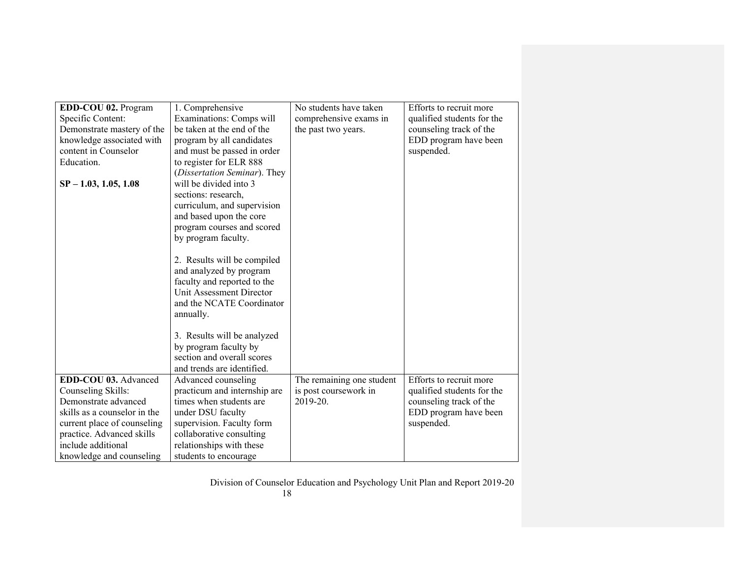| EDD-COU 02. Program          | 1. Comprehensive             | No students have taken    | Efforts to recruit more    |
|------------------------------|------------------------------|---------------------------|----------------------------|
| Specific Content:            | Examinations: Comps will     | comprehensive exams in    | qualified students for the |
| Demonstrate mastery of the   | be taken at the end of the   | the past two years.       | counseling track of the    |
| knowledge associated with    | program by all candidates    |                           | EDD program have been      |
| content in Counselor         | and must be passed in order  |                           | suspended.                 |
| Education.                   | to register for ELR 888      |                           |                            |
|                              | (Dissertation Seminar). They |                           |                            |
| $SP - 1.03, 1.05, 1.08$      | will be divided into 3       |                           |                            |
|                              | sections: research,          |                           |                            |
|                              | curriculum, and supervision  |                           |                            |
|                              | and based upon the core      |                           |                            |
|                              | program courses and scored   |                           |                            |
|                              | by program faculty.          |                           |                            |
|                              |                              |                           |                            |
|                              | 2. Results will be compiled  |                           |                            |
|                              | and analyzed by program      |                           |                            |
|                              | faculty and reported to the  |                           |                            |
|                              | Unit Assessment Director     |                           |                            |
|                              | and the NCATE Coordinator    |                           |                            |
|                              | annually.                    |                           |                            |
|                              |                              |                           |                            |
|                              | 3. Results will be analyzed  |                           |                            |
|                              | by program faculty by        |                           |                            |
|                              | section and overall scores   |                           |                            |
|                              | and trends are identified.   |                           |                            |
| EDD-COU 03. Advanced         | Advanced counseling          | The remaining one student | Efforts to recruit more    |
| Counseling Skills:           | practicum and internship are | is post coursework in     | qualified students for the |
| Demonstrate advanced         | times when students are      | 2019-20.                  | counseling track of the    |
| skills as a counselor in the | under DSU faculty            |                           | EDD program have been      |
| current place of counseling  | supervision. Faculty form    |                           | suspended.                 |
| practice. Advanced skills    | collaborative consulting     |                           |                            |
| include additional           | relationships with these     |                           |                            |
| knowledge and counseling     | students to encourage        |                           |                            |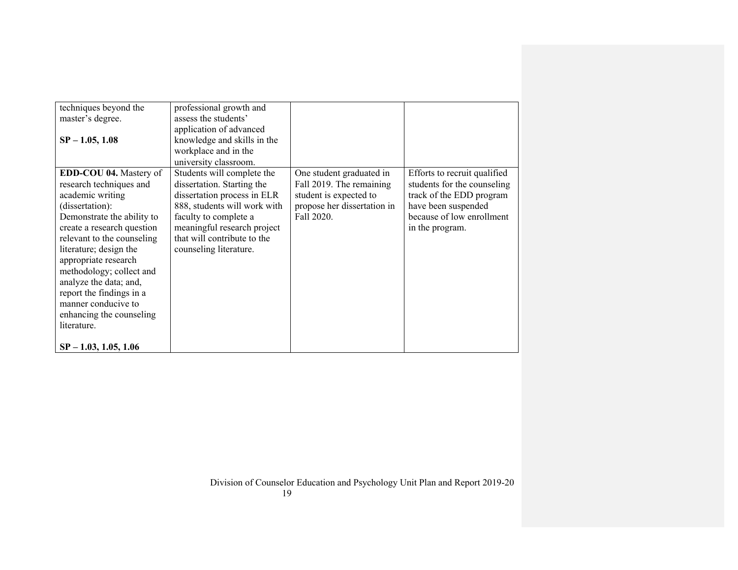| techniques beyond the      | professional growth and      |                             |                              |
|----------------------------|------------------------------|-----------------------------|------------------------------|
| master's degree.           | assess the students'         |                             |                              |
|                            | application of advanced      |                             |                              |
| $SP - 1.05, 1.08$          | knowledge and skills in the  |                             |                              |
|                            | workplace and in the         |                             |                              |
|                            | university classroom.        |                             |                              |
| EDD-COU 04. Mastery of     | Students will complete the   | One student graduated in    | Efforts to recruit qualified |
| research techniques and    | dissertation. Starting the   | Fall 2019. The remaining    | students for the counseling  |
| academic writing           | dissertation process in ELR  | student is expected to      | track of the EDD program     |
| (dissertation):            | 888, students will work with | propose her dissertation in | have been suspended          |
| Demonstrate the ability to | faculty to complete a        | Fall 2020.                  | because of low enrollment    |
| create a research question | meaningful research project  |                             | in the program.              |
| relevant to the counseling | that will contribute to the  |                             |                              |
| literature; design the     | counseling literature.       |                             |                              |
| appropriate research       |                              |                             |                              |
| methodology; collect and   |                              |                             |                              |
| analyze the data; and,     |                              |                             |                              |
| report the findings in a   |                              |                             |                              |
| manner conducive to        |                              |                             |                              |
| enhancing the counseling   |                              |                             |                              |
| literature.                |                              |                             |                              |
|                            |                              |                             |                              |
| $SP - 1.03, 1.05, 1.06$    |                              |                             |                              |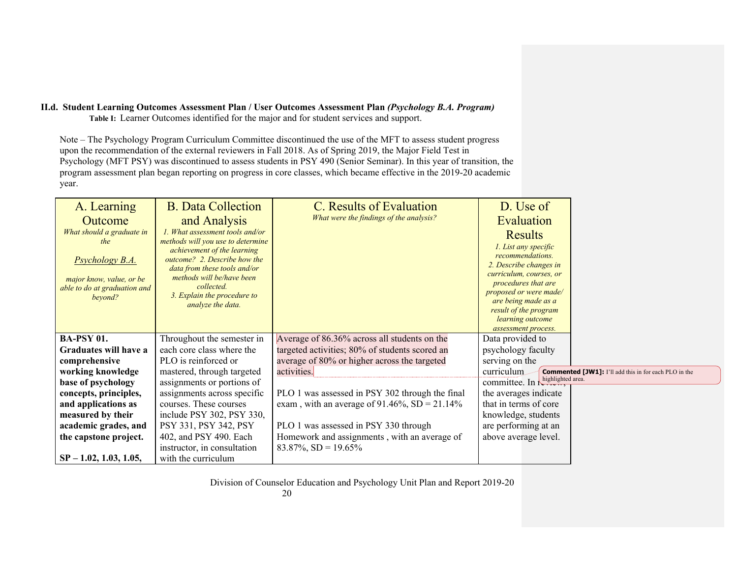# **II.d. Student Learning Outcomes Assessment Plan / User Outcomes Assessment Plan** *(Psychology B.A. Program)*

**Table I:**Learner Outcomes identified for the major and for student services and support.

 Note – The Psychology Program Curriculum Committee discontinued the use of the MFT to assess student progress upon the recommendation of the external reviewers in Fall 2018. As of Spring 2019, the Major Field Test in Psychology (MFT PSY) was discontinued to assess students in PSY 490 (Senior Seminar). In this year of transition, the program assessment plan began reporting on progress in core classes, which became effective in the 2019-20 academic year.

| A. Learning<br><b>Outcome</b><br>What should a graduate in<br>the<br><b>Psychology B.A.</b><br>major know, value, or be<br>able to do at graduation and<br>beyond? | <b>B.</b> Data Collection<br>and Analysis<br>1. What assessment tools and/or<br>methods will you use to determine<br>achievement of the learning<br>outcome? 2. Describe how the<br>data from these tools and/or<br>methods will be/have been<br>collected.<br>3. Explain the procedure to<br>analyze the data. | C. Results of Evaluation<br>What were the findings of the analysis?                            | D. Use of<br>Evaluation<br><b>Results</b><br>1. List any specific<br>recommendations.<br>2. Describe changes in<br>curriculum, courses, or<br>procedures that are<br>proposed or were made/<br>are being made as a<br>result of the program<br><i>learning outcome</i><br>assessment process. |
|--------------------------------------------------------------------------------------------------------------------------------------------------------------------|-----------------------------------------------------------------------------------------------------------------------------------------------------------------------------------------------------------------------------------------------------------------------------------------------------------------|------------------------------------------------------------------------------------------------|-----------------------------------------------------------------------------------------------------------------------------------------------------------------------------------------------------------------------------------------------------------------------------------------------|
| <b>BA-PSY 01.</b><br>Graduates will have a                                                                                                                         | Throughout the semester in<br>each core class where the                                                                                                                                                                                                                                                         | Average of 86.36% across all students on the<br>targeted activities; 80% of students scored an | Data provided to<br>psychology faculty                                                                                                                                                                                                                                                        |
| comprehensive                                                                                                                                                      | PLO is reinforced or                                                                                                                                                                                                                                                                                            | average of 80% or higher across the targeted                                                   | serving on the                                                                                                                                                                                                                                                                                |
| working knowledge                                                                                                                                                  | mastered, through targeted                                                                                                                                                                                                                                                                                      | activities.                                                                                    | <b>Commented [JW1]:</b> I'll add this in for each PLO in the<br>curriculum                                                                                                                                                                                                                    |
| base of psychology                                                                                                                                                 | assignments or portions of                                                                                                                                                                                                                                                                                      |                                                                                                | committee. In highlighted area.                                                                                                                                                                                                                                                               |
| concepts, principles,                                                                                                                                              | assignments across specific                                                                                                                                                                                                                                                                                     | PLO 1 was assessed in PSY 302 through the final                                                | the averages indicate                                                                                                                                                                                                                                                                         |
| and applications as                                                                                                                                                | courses. These courses                                                                                                                                                                                                                                                                                          | exam, with an average of 91.46%, $SD = 21.14%$                                                 | that in terms of core                                                                                                                                                                                                                                                                         |
| measured by their                                                                                                                                                  | include PSY 302, PSY 330,                                                                                                                                                                                                                                                                                       |                                                                                                | knowledge, students                                                                                                                                                                                                                                                                           |
| academic grades, and                                                                                                                                               | PSY 331, PSY 342, PSY                                                                                                                                                                                                                                                                                           | PLO 1 was assessed in PSY 330 through                                                          | are performing at an                                                                                                                                                                                                                                                                          |
| the capstone project.                                                                                                                                              | 402, and PSY 490. Each                                                                                                                                                                                                                                                                                          | Homework and assignments, with an average of                                                   | above average level.                                                                                                                                                                                                                                                                          |
|                                                                                                                                                                    | instructor, in consultation                                                                                                                                                                                                                                                                                     | $83.87\%, SD = 19.65\%$                                                                        |                                                                                                                                                                                                                                                                                               |
| $SP - 1.02, 1.03, 1.05,$                                                                                                                                           | with the curriculum                                                                                                                                                                                                                                                                                             |                                                                                                |                                                                                                                                                                                                                                                                                               |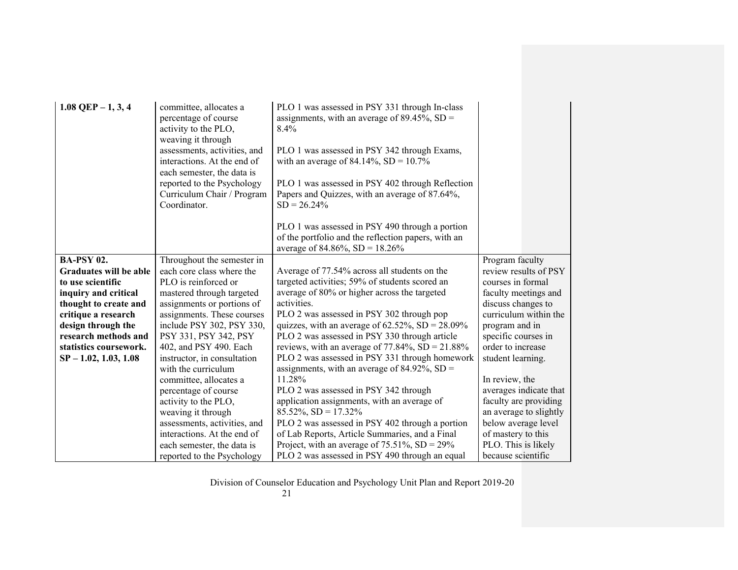| $1.08$ QEP $-1, 3, 4$   | committee, allocates a<br>percentage of course<br>activity to the PLO,<br>weaving it through<br>assessments, activities, and<br>interactions. At the end of<br>each semester, the data is<br>reported to the Psychology<br>Curriculum Chair / Program<br>Coordinator. | PLO 1 was assessed in PSY 331 through In-class<br>assignments, with an average of 89.45%, $SD =$<br>8.4%<br>PLO 1 was assessed in PSY 342 through Exams,<br>with an average of 84.14%, $SD = 10.7\%$<br>PLO 1 was assessed in PSY 402 through Reflection<br>Papers and Quizzes, with an average of 87.64%,<br>$SD = 26.24\%$ |                                                 |
|-------------------------|-----------------------------------------------------------------------------------------------------------------------------------------------------------------------------------------------------------------------------------------------------------------------|------------------------------------------------------------------------------------------------------------------------------------------------------------------------------------------------------------------------------------------------------------------------------------------------------------------------------|-------------------------------------------------|
|                         |                                                                                                                                                                                                                                                                       | PLO 1 was assessed in PSY 490 through a portion<br>of the portfolio and the reflection papers, with an<br>average of 84.86%, $SD = 18.26%$                                                                                                                                                                                   |                                                 |
| <b>BA-PSY 02.</b>       | Throughout the semester in                                                                                                                                                                                                                                            |                                                                                                                                                                                                                                                                                                                              | Program faculty                                 |
| Graduates will be able  | each core class where the                                                                                                                                                                                                                                             | Average of 77.54% across all students on the                                                                                                                                                                                                                                                                                 | review results of PSY                           |
| to use scientific       | PLO is reinforced or                                                                                                                                                                                                                                                  | targeted activities; 59% of students scored an                                                                                                                                                                                                                                                                               | courses in formal                               |
| inquiry and critical    | mastered through targeted                                                                                                                                                                                                                                             | average of 80% or higher across the targeted                                                                                                                                                                                                                                                                                 | faculty meetings and                            |
| thought to create and   | assignments or portions of                                                                                                                                                                                                                                            | activities.                                                                                                                                                                                                                                                                                                                  | discuss changes to                              |
| critique a research     | assignments. These courses                                                                                                                                                                                                                                            | PLO 2 was assessed in PSY 302 through pop                                                                                                                                                                                                                                                                                    | curriculum within the                           |
| design through the      | include PSY 302, PSY 330,                                                                                                                                                                                                                                             | quizzes, with an average of $62.52\%$ , SD = $28.09\%$                                                                                                                                                                                                                                                                       | program and in                                  |
| research methods and    | PSY 331, PSY 342, PSY                                                                                                                                                                                                                                                 | PLO 2 was assessed in PSY 330 through article                                                                                                                                                                                                                                                                                | specific courses in                             |
| statistics coursework.  | 402, and PSY 490. Each                                                                                                                                                                                                                                                | reviews, with an average of $77.84\%$ , SD = $21.88\%$                                                                                                                                                                                                                                                                       | order to increase                               |
| $SP - 1.02, 1.03, 1.08$ | instructor, in consultation                                                                                                                                                                                                                                           | PLO 2 was assessed in PSY 331 through homework                                                                                                                                                                                                                                                                               | student learning.                               |
|                         | with the curriculum                                                                                                                                                                                                                                                   | assignments, with an average of 84.92%, $SD =$                                                                                                                                                                                                                                                                               |                                                 |
|                         | committee, allocates a                                                                                                                                                                                                                                                | 11.28%                                                                                                                                                                                                                                                                                                                       | In review, the                                  |
|                         | percentage of course                                                                                                                                                                                                                                                  | PLO 2 was assessed in PSY 342 through<br>application assignments, with an average of                                                                                                                                                                                                                                         | averages indicate that<br>faculty are providing |
|                         | activity to the PLO,<br>weaving it through                                                                                                                                                                                                                            | $85.52\%, SD = 17.32\%$                                                                                                                                                                                                                                                                                                      | an average to slightly                          |
|                         | assessments, activities, and                                                                                                                                                                                                                                          | PLO 2 was assessed in PSY 402 through a portion                                                                                                                                                                                                                                                                              | below average level                             |
|                         | interactions. At the end of                                                                                                                                                                                                                                           | of Lab Reports, Article Summaries, and a Final                                                                                                                                                                                                                                                                               | of mastery to this                              |
|                         | each semester, the data is                                                                                                                                                                                                                                            | Project, with an average of $75.51\%$ , SD = $29\%$                                                                                                                                                                                                                                                                          | PLO. This is likely                             |
|                         | reported to the Psychology                                                                                                                                                                                                                                            | PLO 2 was assessed in PSY 490 through an equal                                                                                                                                                                                                                                                                               | because scientific                              |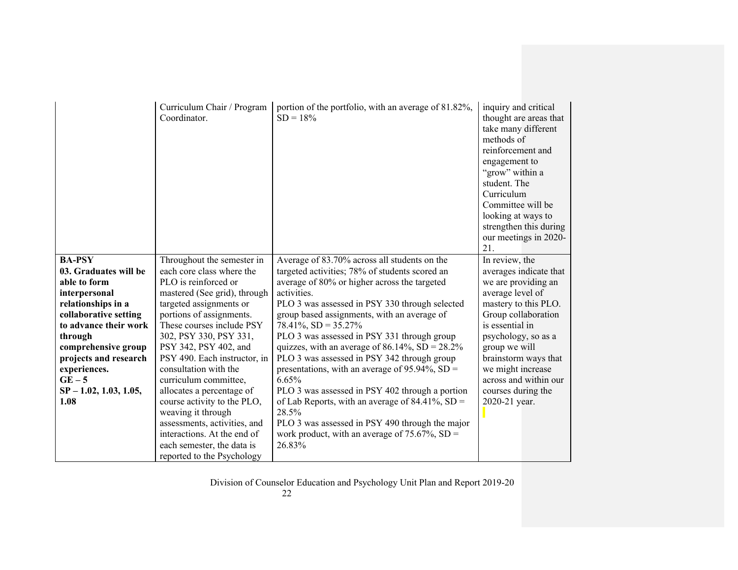|                                              | Curriculum Chair / Program<br>Coordinator.            | portion of the portfolio, with an average of 81.82%,<br>$SD = 18%$                                   | inquiry and critical<br>thought are areas that<br>take many different<br>methods of<br>reinforcement and<br>engagement to<br>"grow" within a<br>student. The<br>Curriculum<br>Committee will be<br>looking at ways to<br>strengthen this during<br>our meetings in 2020-<br>21. |
|----------------------------------------------|-------------------------------------------------------|------------------------------------------------------------------------------------------------------|---------------------------------------------------------------------------------------------------------------------------------------------------------------------------------------------------------------------------------------------------------------------------------|
| <b>BA-PSY</b>                                | Throughout the semester in                            | Average of 83.70% across all students on the                                                         | In review, the                                                                                                                                                                                                                                                                  |
| 03. Graduates will be                        | each core class where the                             | targeted activities; 78% of students scored an                                                       | averages indicate that                                                                                                                                                                                                                                                          |
| able to form                                 | PLO is reinforced or                                  | average of 80% or higher across the targeted                                                         | we are providing an                                                                                                                                                                                                                                                             |
| interpersonal                                | mastered (See grid), through                          | activities.                                                                                          | average level of                                                                                                                                                                                                                                                                |
| relationships in a                           | targeted assignments or                               | PLO 3 was assessed in PSY 330 through selected                                                       | mastery to this PLO.                                                                                                                                                                                                                                                            |
| collaborative setting                        | portions of assignments.                              | group based assignments, with an average of                                                          | Group collaboration                                                                                                                                                                                                                                                             |
| to advance their work                        | These courses include PSY                             | $78.41\%, SD = 35.27\%$                                                                              | is essential in                                                                                                                                                                                                                                                                 |
| through                                      | 302, PSY 330, PSY 331,                                | PLO 3 was assessed in PSY 331 through group                                                          | psychology, so as a                                                                                                                                                                                                                                                             |
| comprehensive group<br>projects and research | PSY 342, PSY 402, and<br>PSY 490. Each instructor, in | quizzes, with an average of $86.14\%$ , SD = $28.2\%$<br>PLO 3 was assessed in PSY 342 through group | group we will<br>brainstorm ways that                                                                                                                                                                                                                                           |
| experiences.                                 | consultation with the                                 | presentations, with an average of $95.94\%$ , SD =                                                   | we might increase                                                                                                                                                                                                                                                               |
| $GE-5$                                       | curriculum committee,                                 | 6.65%                                                                                                | across and within our                                                                                                                                                                                                                                                           |
| $SP - 1.02, 1.03, 1.05,$                     | allocates a percentage of                             | PLO 3 was assessed in PSY 402 through a portion                                                      | courses during the                                                                                                                                                                                                                                                              |
| 1.08                                         | course activity to the PLO,                           | of Lab Reports, with an average of 84.41%, $SD =$                                                    | 2020-21 year.                                                                                                                                                                                                                                                                   |
|                                              | weaving it through                                    | 28.5%                                                                                                |                                                                                                                                                                                                                                                                                 |
|                                              | assessments, activities, and                          | PLO 3 was assessed in PSY 490 through the major                                                      |                                                                                                                                                                                                                                                                                 |
|                                              | interactions. At the end of                           | work product, with an average of $75.67\%$ , SD =                                                    |                                                                                                                                                                                                                                                                                 |
|                                              | each semester, the data is                            | 26.83%                                                                                               |                                                                                                                                                                                                                                                                                 |
|                                              | reported to the Psychology                            |                                                                                                      |                                                                                                                                                                                                                                                                                 |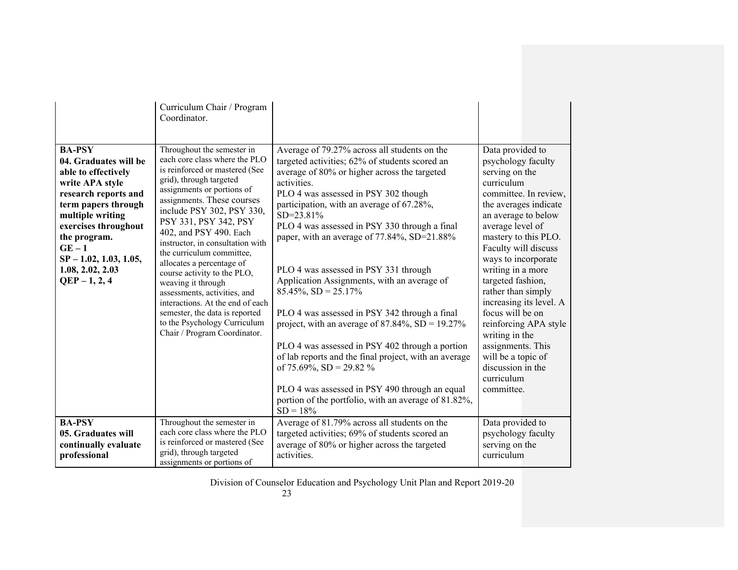| <b>BA-PSY</b><br>04. Graduates will be<br>able to effectively<br>write APA style<br>research reports and<br>term papers through<br>multiple writing<br>exercises throughout<br>the program.<br>$GE-1$ | Curriculum Chair / Program<br>Coordinator.<br>Throughout the semester in<br>each core class where the PLO<br>is reinforced or mastered (See<br>grid), through targeted<br>assignments or portions of<br>assignments. These courses<br>include PSY 302, PSY 330,<br>PSY 331, PSY 342, PSY<br>402, and PSY 490. Each<br>instructor, in consultation with<br>the curriculum committee, | Average of 79.27% across all students on the<br>targeted activities; 62% of students scored an<br>average of 80% or higher across the targeted<br>activities.<br>PLO 4 was assessed in PSY 302 though<br>participation, with an average of 67.28%,<br>SD=23.81%<br>PLO 4 was assessed in PSY 330 through a final<br>paper, with an average of 77.84%, SD=21.88%                                                                                                                            | Data provided to<br>psychology faculty<br>serving on the<br>curriculum<br>committee. In review,<br>the averages indicate<br>an average to below<br>average level of<br>mastery to this PLO.<br>Faculty will discuss                                                       |
|-------------------------------------------------------------------------------------------------------------------------------------------------------------------------------------------------------|-------------------------------------------------------------------------------------------------------------------------------------------------------------------------------------------------------------------------------------------------------------------------------------------------------------------------------------------------------------------------------------|--------------------------------------------------------------------------------------------------------------------------------------------------------------------------------------------------------------------------------------------------------------------------------------------------------------------------------------------------------------------------------------------------------------------------------------------------------------------------------------------|---------------------------------------------------------------------------------------------------------------------------------------------------------------------------------------------------------------------------------------------------------------------------|
| $SP - 1.02, 1.03, 1.05,$<br>1.08, 2.02, 2.03<br>$QEP - 1, 2, 4$                                                                                                                                       | allocates a percentage of<br>course activity to the PLO,<br>weaving it through<br>assessments, activities, and<br>interactions. At the end of each<br>semester, the data is reported<br>to the Psychology Curriculum<br>Chair / Program Coordinator.                                                                                                                                | PLO 4 was assessed in PSY 331 through<br>Application Assignments, with an average of<br>$85.45\%, SD = 25.17\%$<br>PLO 4 was assessed in PSY 342 through a final<br>project, with an average of $87.84\%$ , SD = $19.27\%$<br>PLO 4 was assessed in PSY 402 through a portion<br>of lab reports and the final project, with an average<br>of 75.69%, SD = 29.82 %<br>PLO 4 was assessed in PSY 490 through an equal<br>portion of the portfolio, with an average of 81.82%,<br>$SD = 18\%$ | ways to incorporate<br>writing in a more<br>targeted fashion,<br>rather than simply<br>increasing its level. A<br>focus will be on<br>reinforcing APA style<br>writing in the<br>assignments. This<br>will be a topic of<br>discussion in the<br>curriculum<br>committee. |
| <b>BA-PSY</b><br>05. Graduates will<br>continually evaluate<br>professional                                                                                                                           | Throughout the semester in<br>each core class where the PLO<br>is reinforced or mastered (See<br>grid), through targeted<br>assignments or portions of                                                                                                                                                                                                                              | Average of 81.79% across all students on the<br>targeted activities; 69% of students scored an<br>average of 80% or higher across the targeted<br>activities.                                                                                                                                                                                                                                                                                                                              | Data provided to<br>psychology faculty<br>serving on the<br>curriculum                                                                                                                                                                                                    |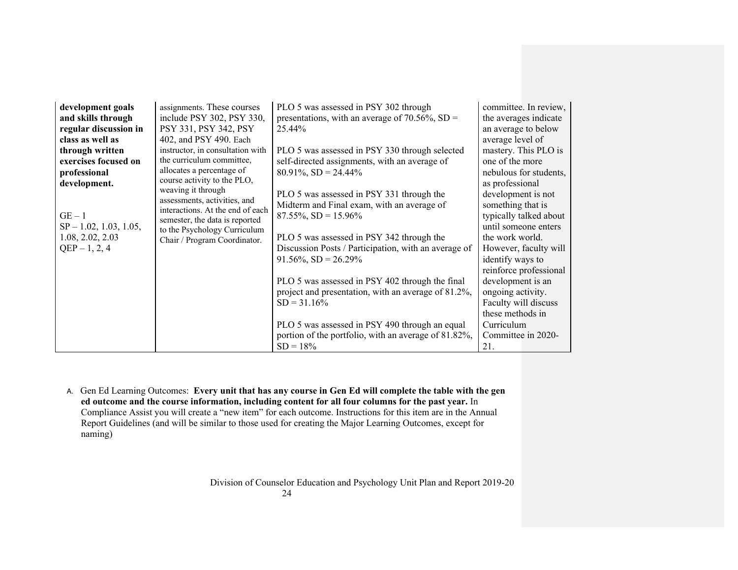| development goals<br>and skills through<br>regular discussion in<br>class as well as | assignments. These courses<br>include PSY 302, PSY 330,<br>PSY 331, PSY 342, PSY<br>402, and PSY 490. Each                                               | PLO 5 was assessed in PSY 302 through<br>presentations, with an average of 70.56%, $SD =$<br>25.44%                          | committee. In review,<br>the averages indicate<br>an average to below<br>average level of |
|--------------------------------------------------------------------------------------|----------------------------------------------------------------------------------------------------------------------------------------------------------|------------------------------------------------------------------------------------------------------------------------------|-------------------------------------------------------------------------------------------|
| through written<br>exercises focused on<br>professional<br>development.              | instructor, in consultation with<br>the curriculum committee,<br>allocates a percentage of<br>course activity to the PLO,                                | PLO 5 was assessed in PSY 330 through selected<br>self-directed assignments, with an average of<br>$80.91\%$ , SD = 24.44%   | mastery. This PLO is<br>one of the more<br>nebulous for students,<br>as professional      |
| $GE-1$<br>$SP - 1.02, 1.03, 1.05,$                                                   | weaving it through<br>assessments, activities, and<br>interactions. At the end of each<br>semester, the data is reported<br>to the Psychology Curriculum | PLO 5 was assessed in PSY 331 through the<br>Midterm and Final exam, with an average of<br>$87.55\%, SD = 15.96\%$           | development is not<br>something that is<br>typically talked about<br>until someone enters |
| 1.08, 2.02, 2.03<br>$QEP - 1, 2, 4$                                                  | Chair / Program Coordinator.                                                                                                                             | PLO 5 was assessed in PSY 342 through the<br>Discussion Posts / Participation, with an average of<br>$91.56\%$ , SD = 26.29% | the work world.<br>However, faculty will<br>identify ways to<br>reinforce professional    |
|                                                                                      |                                                                                                                                                          | PLO 5 was assessed in PSY 402 through the final<br>project and presentation, with an average of 81.2%,<br>$SD = 31.16\%$     | development is an<br>ongoing activity.<br>Faculty will discuss<br>these methods in        |
|                                                                                      |                                                                                                                                                          | PLO 5 was assessed in PSY 490 through an equal<br>portion of the portfolio, with an average of 81.82%,<br>$SD = 18%$         | Curriculum<br>Committee in 2020-<br>21.                                                   |

A. Gen Ed Learning Outcomes: **Every unit that has any course in Gen Ed will complete the table with the gen ed outcome and the course information, including content for all four columns for the past year.** In Compliance Assist you will create a "new item" for each outcome. Instructions for this item are in the Annual Report Guidelines (and will be similar to those used for creating the Major Learning Outcomes, except for naming)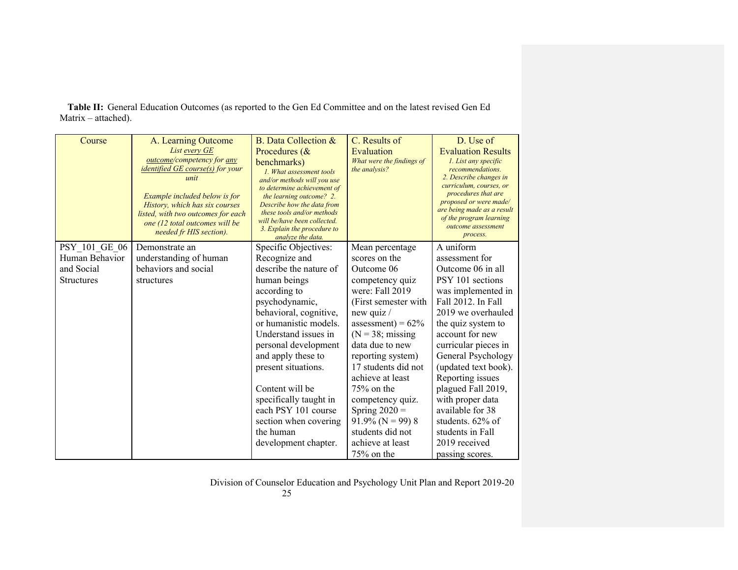| Course                                                             | A. Learning Outcome<br>List every GE<br>outcome/competency for any<br><i>identified GE course(s) for your</i><br>unit<br>Example included below is for<br>History, which has six courses<br>listed, with two outcomes for each<br>one (12 total outcomes will be<br>needed fr HIS section). | B. Data Collection &<br>Procedures (&<br>benchmarks)<br>1. What assessment tools<br>and/or methods will you use<br>to determine achievement of<br>the learning outcome? 2.<br>Describe how the data from<br>these tools and/or methods<br>will be/have been collected.<br>3. Explain the procedure to<br>analyze the data.                                                                          | C. Results of<br>Evaluation<br>What were the findings of<br>the analysis?                                                                                                                                                                                                                                                                                                                                      | D. Use of<br><b>Evaluation Results</b><br>1. List any specific<br>recommendations.<br>2. Describe changes in<br>curriculum, courses, or<br>procedures that are<br>proposed or were made/<br>are being made as a result<br>of the program learning<br>outcome assessment<br>process.                                                                                                                                 |
|--------------------------------------------------------------------|---------------------------------------------------------------------------------------------------------------------------------------------------------------------------------------------------------------------------------------------------------------------------------------------|-----------------------------------------------------------------------------------------------------------------------------------------------------------------------------------------------------------------------------------------------------------------------------------------------------------------------------------------------------------------------------------------------------|----------------------------------------------------------------------------------------------------------------------------------------------------------------------------------------------------------------------------------------------------------------------------------------------------------------------------------------------------------------------------------------------------------------|---------------------------------------------------------------------------------------------------------------------------------------------------------------------------------------------------------------------------------------------------------------------------------------------------------------------------------------------------------------------------------------------------------------------|
| PSY 101 GE 06<br>Human Behavior<br>and Social<br><b>Structures</b> | Demonstrate an<br>understanding of human<br>behaviors and social<br>structures                                                                                                                                                                                                              | Specific Objectives:<br>Recognize and<br>describe the nature of<br>human beings<br>according to<br>psychodynamic,<br>behavioral, cognitive,<br>or humanistic models.<br>Understand issues in<br>personal development<br>and apply these to<br>present situations.<br>Content will be<br>specifically taught in<br>each PSY 101 course<br>section when covering<br>the human<br>development chapter. | Mean percentage<br>scores on the<br>Outcome 06<br>competency quiz<br>were: Fall 2019<br>(First semester with<br>new quiz $\ell$<br>assessment) = $62\%$<br>$(N = 38; \text{missing})$<br>data due to new<br>reporting system)<br>17 students did not<br>achieve at least<br>$75%$ on the<br>competency quiz.<br>Spring $2020 =$<br>$91.9\%$ (N = 99) 8<br>students did not<br>achieve at least<br>$75%$ on the | A uniform<br>assessment for<br>Outcome 06 in all<br>PSY 101 sections<br>was implemented in<br>Fall 2012. In Fall<br>2019 we overhauled<br>the quiz system to<br>account for new<br>curricular pieces in<br>General Psychology<br>(updated text book).<br>Reporting issues<br>plagued Fall 2019,<br>with proper data<br>available for 38<br>students. 62% of<br>students in Fall<br>2019 received<br>passing scores. |

*Table II:* General Education Outcomes (as reported to the Gen Ed Committee and on the latest revised Gen Ed Matrix – attached).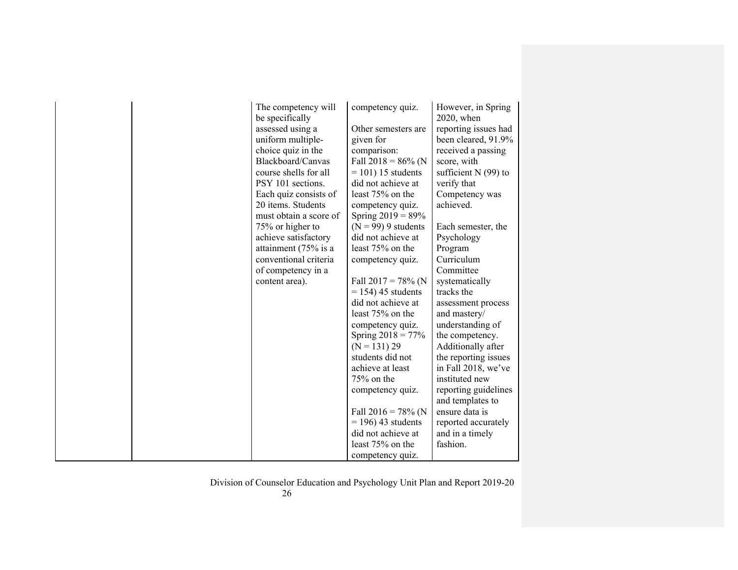| The competency will<br>be specifically<br>assessed using a<br>uniform multiple-<br>choice quiz in the<br>Blackboard/Canvas<br>course shells for all<br>PSY 101 sections.<br>Each quiz consists of<br>20 items. Students<br>must obtain a score of<br>75% or higher to<br>achieve satisfactory<br>attainment (75% is a<br>conventional criteria<br>of competency in a<br>content area). | competency quiz.<br>Other semesters are.<br>given for<br>comparison:<br>Fall $2018 = 86\%$ (N<br>$= 101$ ) 15 students<br>did not achieve at<br>least 75% on the<br>competency quiz.<br>Spring $2019 = 89\%$<br>$(N = 99)$ 9 students<br>did not achieve at<br>least 75% on the<br>competency quiz.<br>Fall $2017 = 78\%$ (N<br>$= 154$ ) 45 students<br>did not achieve at<br>least 75% on the<br>competency quiz.<br>Spring $2018 = 77\%$<br>$(N = 131) 29$<br>students did not<br>achieve at least<br>75% on the<br>competency quiz.<br>Fall $2016 = 78\%$ (N<br>$= 196$ ) 43 students<br>did not achieve at<br>least 75% on the | However, in Spring<br>2020, when<br>reporting issues had<br>been cleared, 91.9%<br>received a passing<br>score, with<br>sufficient $N(99)$ to<br>verify that<br>Competency was<br>achieved.<br>Each semester, the<br>Psychology<br>Program<br>Curriculum<br>Committee<br>systematically<br>tracks the<br>assessment process<br>and mastery/<br>understanding of<br>the competency.<br>Additionally after<br>the reporting issues<br>in Fall 2018, we've<br>instituted new<br>reporting guidelines<br>and templates to<br>ensure data is<br>reported accurately<br>and in a timely<br>fashion. |
|----------------------------------------------------------------------------------------------------------------------------------------------------------------------------------------------------------------------------------------------------------------------------------------------------------------------------------------------------------------------------------------|-------------------------------------------------------------------------------------------------------------------------------------------------------------------------------------------------------------------------------------------------------------------------------------------------------------------------------------------------------------------------------------------------------------------------------------------------------------------------------------------------------------------------------------------------------------------------------------------------------------------------------------|-----------------------------------------------------------------------------------------------------------------------------------------------------------------------------------------------------------------------------------------------------------------------------------------------------------------------------------------------------------------------------------------------------------------------------------------------------------------------------------------------------------------------------------------------------------------------------------------------|
|----------------------------------------------------------------------------------------------------------------------------------------------------------------------------------------------------------------------------------------------------------------------------------------------------------------------------------------------------------------------------------------|-------------------------------------------------------------------------------------------------------------------------------------------------------------------------------------------------------------------------------------------------------------------------------------------------------------------------------------------------------------------------------------------------------------------------------------------------------------------------------------------------------------------------------------------------------------------------------------------------------------------------------------|-----------------------------------------------------------------------------------------------------------------------------------------------------------------------------------------------------------------------------------------------------------------------------------------------------------------------------------------------------------------------------------------------------------------------------------------------------------------------------------------------------------------------------------------------------------------------------------------------|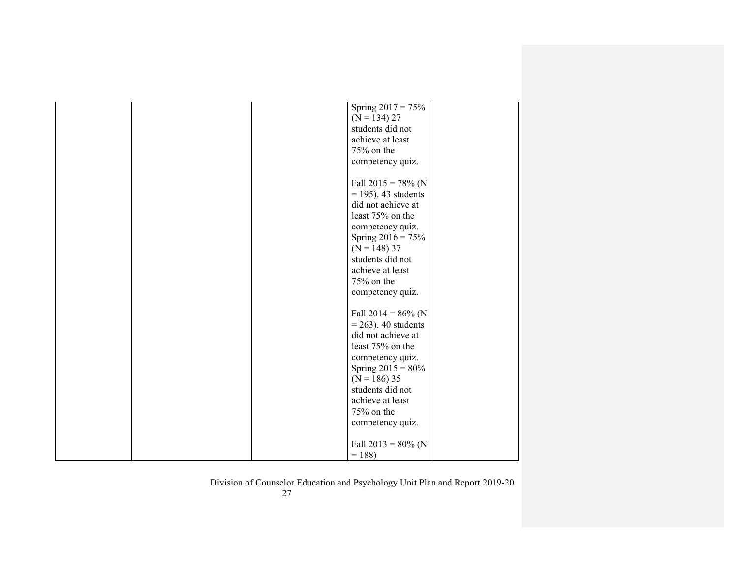|  | Spring $2017 = 75%$    |  |
|--|------------------------|--|
|  | $(N = 134)$ 27         |  |
|  | students did not       |  |
|  | achieve at least       |  |
|  | 75% on the             |  |
|  | competency quiz.       |  |
|  | Fall $2015 = 78\%$ (N  |  |
|  | $= 195$ ). 43 students |  |
|  | did not achieve at     |  |
|  | least 75% on the       |  |
|  | competency quiz.       |  |
|  | Spring $2016 = 75%$    |  |
|  | $(N = 148)$ 37         |  |
|  | students did not       |  |
|  | achieve at least       |  |
|  |                        |  |
|  | 75% on the             |  |
|  | competency quiz.       |  |
|  | Fall $2014 = 86\%$ (N  |  |
|  | $= 263$ ). 40 students |  |
|  | did not achieve at     |  |
|  | least 75% on the       |  |
|  | competency quiz.       |  |
|  | Spring $2015 = 80\%$   |  |
|  | $(N = 186)$ 35         |  |
|  | students did not       |  |
|  | achieve at least       |  |
|  | 75% on the             |  |
|  | competency quiz.       |  |
|  |                        |  |
|  | Fall $2013 = 80\%$ (N  |  |
|  | $= 188$                |  |
|  |                        |  |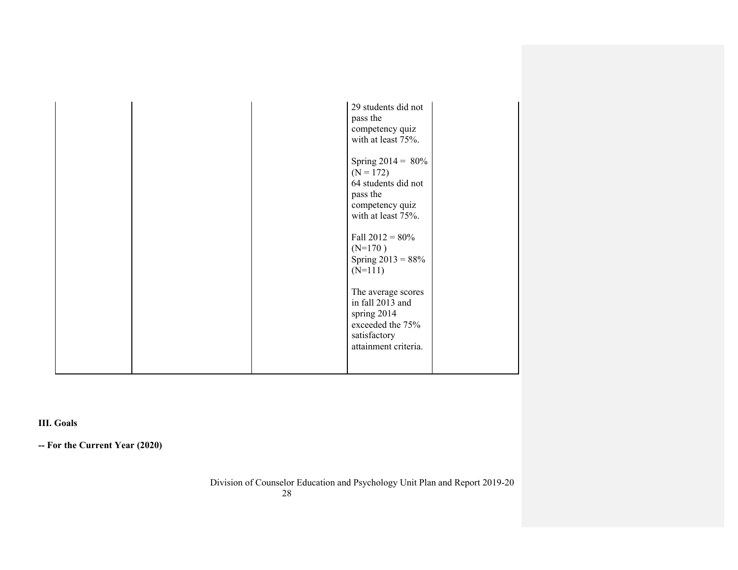|  | 29 students did not<br>pass the<br>competency quiz<br>with at least 75%.<br>Spring $2014 = 80\%$<br>$(N = 172)$<br>64 students did not<br>pass the<br>competency quiz<br>with at least 75%.<br>Fall $2012 = 80\%$<br>$(N=170)$<br>Spring $2013 = 88%$<br>$(N=111)$<br>The average scores<br>in fall 2013 and |  |
|--|--------------------------------------------------------------------------------------------------------------------------------------------------------------------------------------------------------------------------------------------------------------------------------------------------------------|--|
|  | spring 2014<br>exceeded the 75%<br>satisfactory<br>attainment criteria.                                                                                                                                                                                                                                      |  |

**III. Goals**

**-- For the Current Year (2020)**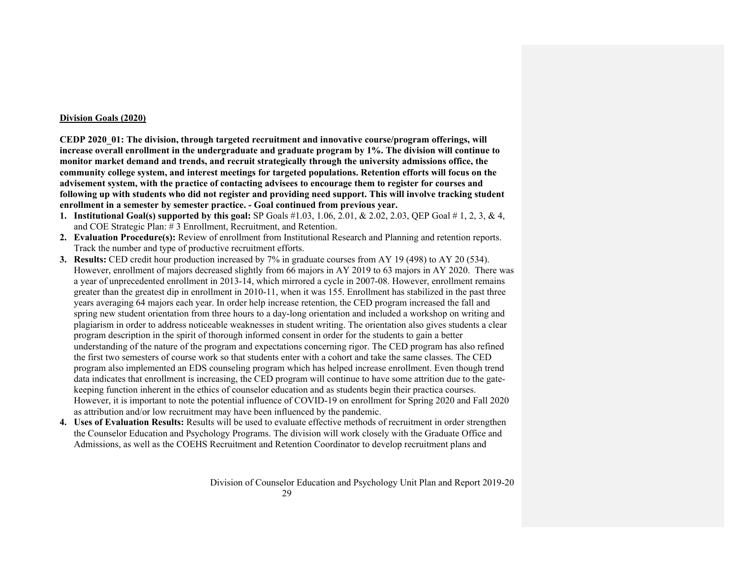#### **Division Goals (2020)**

**CEDP 2020\_01: The division, through targeted recruitment and innovative course/program offerings, will increase overall enrollment in the undergraduate and graduate program by 1%. The division will continue to monitor market demand and trends, and recruit strategically through the university admissions office, the community college system, and interest meetings for targeted populations. Retention efforts will focus on the advisement system, with the practice of contacting advisees to encourage them to register for courses and following up with students who did not register and providing need support. This will involve tracking student enrollment in a semester by semester practice. - Goal continued from previous year.**

- **1. Institutional Goal(s) supported by this goal:** SP Goals #1.03, 1.06, 2.01, & 2.02, 2.03, QEP Goal # 1, 2, 3, & 4, and COE Strategic Plan: # 3 Enrollment, Recruitment, and Retention.
- **2. Evaluation Procedure(s):** Review of enrollment from Institutional Research and Planning and retention reports. Track the number and type of productive recruitment efforts.
- **3. Results:** CED credit hour production increased by 7% in graduate courses from AY 19 (498) to AY 20 (534). However, enrollment of majors decreased slightly from 66 majors in AY 2019 to 63 majors in AY 2020. There was a year of unprecedented enrollment in 2013-14, which mirrored a cycle in 2007-08. However, enrollment remains greater than the greatest dip in enrollment in 2010-11, when it was 155. Enrollment has stabilized in the past three years averaging 64 majors each year. In order help increase retention, the CED program increased the fall and spring new student orientation from three hours to a day-long orientation and included a workshop on writing and plagiarism in order to address noticeable weaknesses in student writing. The orientation also gives students a clear program description in the spirit of thorough informed consent in order for the students to gain a better understanding of the nature of the program and expectations concerning rigor. The CED program has also refined the first two semesters of course work so that students enter with a cohort and take the same classes. The CED program also implemented an EDS counseling program which has helped increase enrollment. Even though trend data indicates that enrollment is increasing, the CED program will continue to have some attrition due to the gatekeeping function inherent in the ethics of counselor education and as students begin their practica courses. However, it is important to note the potential influence of COVID-19 on enrollment for Spring 2020 and Fall 2020 as attribution and/or low recruitment may have been influenced by the pandemic.
- **4. Uses of Evaluation Results:** Results will be used to evaluate effective methods of recruitment in order strengthen the Counselor Education and Psychology Programs. The division will work closely with the Graduate Office and Admissions, as well as the COEHS Recruitment and Retention Coordinator to develop recruitment plans and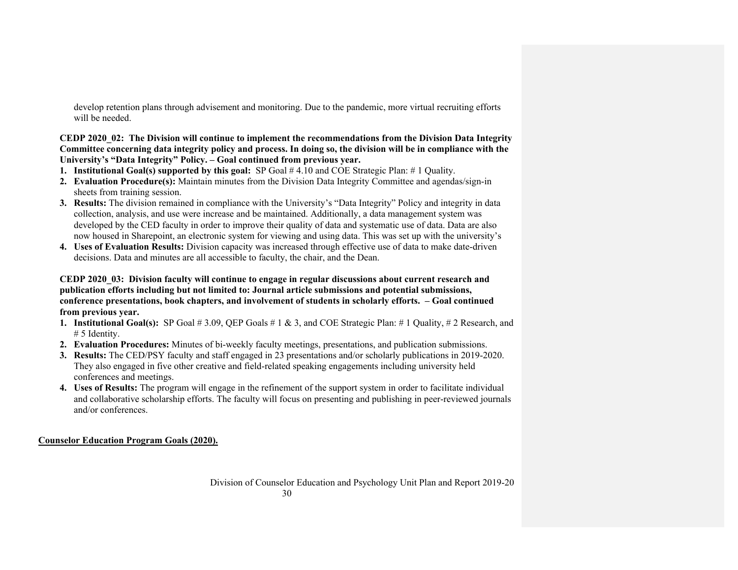develop retention plans through advisement and monitoring. Due to the pandemic, more virtual recruiting efforts will be needed.

**CEDP 2020\_02: The Division will continue to implement the recommendations from the Division Data Integrity Committee concerning data integrity policy and process. In doing so, the division will be in compliance with the University's "Data Integrity" Policy. – Goal continued from previous year.**

- **1. Institutional Goal(s) supported by this goal:** SP Goal # 4.10 and COE Strategic Plan: # 1 Quality.
- **2. Evaluation Procedure(s):** Maintain minutes from the Division Data Integrity Committee and agendas/sign-in sheets from training session.
- **3. Results:** The division remained in compliance with the University's "Data Integrity" Policy and integrity in data collection, analysis, and use were increase and be maintained. Additionally, a data management system was developed by the CED faculty in order to improve their quality of data and systematic use of data. Data are also now housed in Sharepoint, an electronic system for viewing and using data. This was set up with the university's
- **4. Uses of Evaluation Results:** Division capacity was increased through effective use of data to make date-driven decisions. Data and minutes are all accessible to faculty, the chair, and the Dean.

**CEDP 2020\_03: Division faculty will continue to engage in regular discussions about current research and publication efforts including but not limited to: Journal article submissions and potential submissions, conference presentations, book chapters, and involvement of students in scholarly efforts. – Goal continued from previous year.**

- **1. Institutional Goal(s):** SP Goal  $\# 3.09$ , QEP Goals  $\# 1 \& 3$ , and COE Strategic Plan:  $\# 1$  Quality,  $\# 2$  Research, and # 5 Identity.
- **2. Evaluation Procedures:** Minutes of bi-weekly faculty meetings, presentations, and publication submissions.
- **3. Results:** The CED/PSY faculty and staff engaged in 23 presentations and/or scholarly publications in 2019-2020. They also engaged in five other creative and field-related speaking engagements including university held conferences and meetings.
- **4. Uses of Results:** The program will engage in the refinement of the support system in order to facilitate individual and collaborative scholarship efforts. The faculty will focus on presenting and publishing in peer-reviewed journals and/or conferences.

**Counselor Education Program Goals (2020).**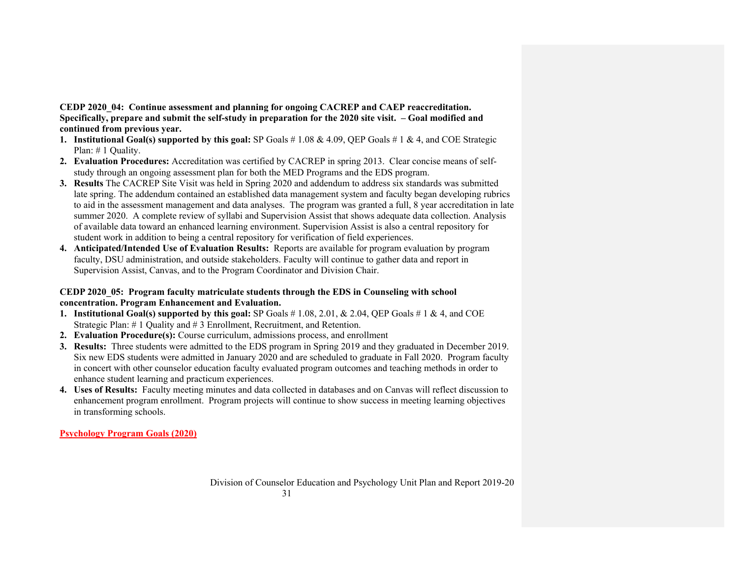CEDP 2020 04: Continue assessment and planning for ongoing CACREP and CAEP reaccreditation. **Specifically, prepare and submit the self-study in preparation for the 2020 site visit. – Goal modified and continued from previous year.**

- **1. Institutional Goal(s) supported by this goal:** SP Goals # 1.08 & 4.09, QEP Goals # 1 & 4, and COE Strategic Plan: # 1 Quality.
- **2. Evaluation Procedures:** Accreditation was certified by CACREP in spring 2013. Clear concise means of selfstudy through an ongoing assessment plan for both the MED Programs and the EDS program.
- **3. Results** The CACREP Site Visit was held in Spring 2020 and addendum to address six standards was submitted late spring. The addendum contained an established data management system and faculty began developing rubrics to aid in the assessment management and data analyses. The program was granted a full, 8 year accreditation in late summer 2020. A complete review of syllabi and Supervision Assist that shows adequate data collection. Analysis of available data toward an enhanced learning environment. Supervision Assist is also a central repository for student work in addition to being a central repository for verification of field experiences.
- **4. Anticipated/Intended Use of Evaluation Results:** Reports are available for program evaluation by program faculty, DSU administration, and outside stakeholders. Faculty will continue to gather data and report in Supervision Assist, Canvas, and to the Program Coordinator and Division Chair.

# **CEDP 2020\_05: Program faculty matriculate students through the EDS in Counseling with school concentration. Program Enhancement and Evaluation.**

- **1. Institutional Goal(s) supported by this goal:** SP Goals # 1.08, 2.01, & 2.04, QEP Goals # 1 & 4, and COE Strategic Plan: # 1 Quality and # 3 Enrollment, Recruitment, and Retention.
- **2. Evaluation Procedure(s):** Course curriculum, admissions process, and enrollment
- **3. Results:** Three students were admitted to the EDS program in Spring 2019 and they graduated in December 2019. Six new EDS students were admitted in January 2020 and are scheduled to graduate in Fall 2020. Program faculty in concert with other counselor education faculty evaluated program outcomes and teaching methods in order to enhance student learning and practicum experiences.
- **4. Uses of Results:** Faculty meeting minutes and data collected in databases and on Canvas will reflect discussion to enhancement program enrollment. Program projects will continue to show success in meeting learning objectives in transforming schools.

# **Psychology Program Goals (2020)**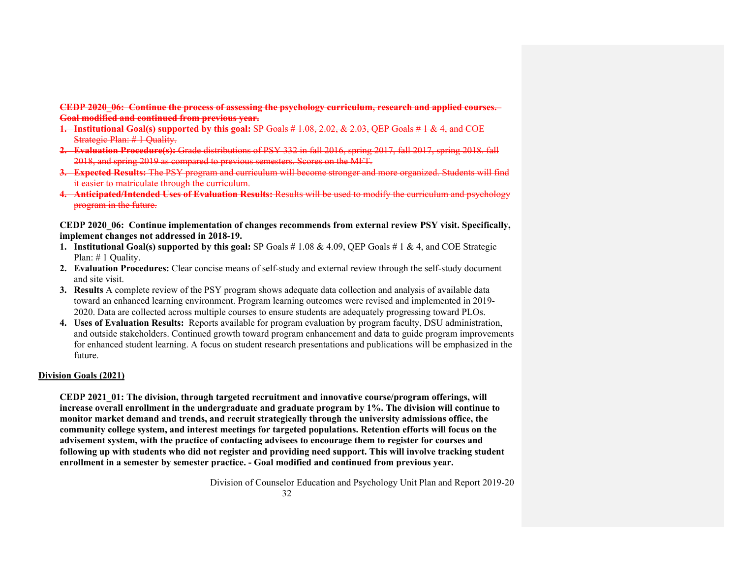**CEDP 2020\_06: Continue the process of assessing the psychology curriculum, research and applied courses.– Goal modified and continued from previous year.**

- **1. Institutional Goal(s) supported by this goal:** SP Goals # 1.08, 2.02, & 2.03, QEP Goals # 1 & 4, and COE Strategic Plan: # 1 Quality.
- **2. Evaluation Procedure(s):** Grade distributions of PSY 332 in fall 2016, spring 2017, fall 2017, spring 2018. fall 2018, and spring 2019 as compared to previous semesters. Scores on the MFT.
- **3. Expected Results:** The PSY program and curriculum will become stronger and more organized. Students will find it easier to matriculate through the curriculum.
- **4. Anticipated/Intended Uses of Evaluation Results:** Results will be used to modify the curriculum and psychology program in the future.

**CEDP 2020\_06: Continue implementation of changes recommends from external review PSY visit. Specifically, implement changes not addressed in 2018-19.** 

- **1. Institutional Goal(s) supported by this goal:** SP Goals # 1.08 & 4.09, QEP Goals # 1 & 4, and COE Strategic Plan: # 1 Quality.
- **2. Evaluation Procedures:** Clear concise means of self-study and external review through the self-study document and site visit.
- **3. Results** A complete review of the PSY program shows adequate data collection and analysis of available data toward an enhanced learning environment. Program learning outcomes were revised and implemented in 2019- 2020. Data are collected across multiple courses to ensure students are adequately progressing toward PLOs.
- **4. Uses of Evaluation Results:** Reports available for program evaluation by program faculty, DSU administration, and outside stakeholders. Continued growth toward program enhancement and data to guide program improvements for enhanced student learning. A focus on student research presentations and publications will be emphasized in the future.

#### **Division Goals (2021)**

**CEDP 2021\_01: The division, through targeted recruitment and innovative course/program offerings, will increase overall enrollment in the undergraduate and graduate program by 1%. The division will continue to monitor market demand and trends, and recruit strategically through the university admissions office, the community college system, and interest meetings for targeted populations. Retention efforts will focus on the advisement system, with the practice of contacting advisees to encourage them to register for courses and following up with students who did not register and providing need support. This will involve tracking student enrollment in a semester by semester practice. - Goal modified and continued from previous year.**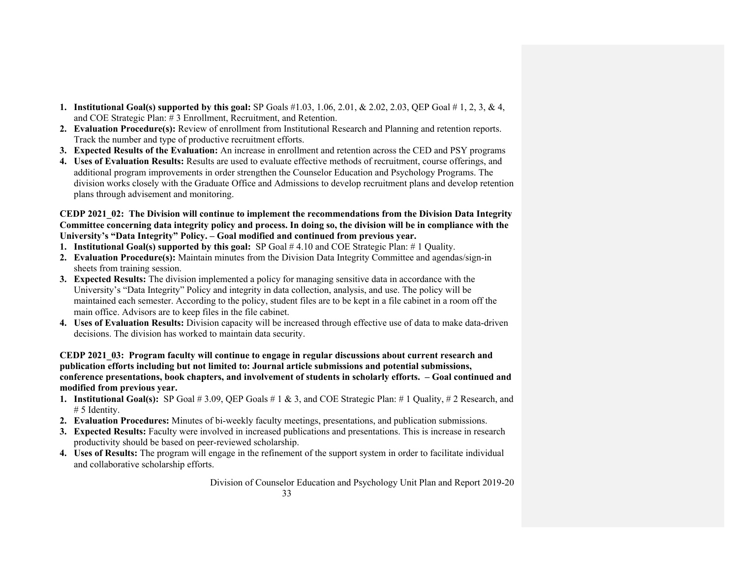- **1. Institutional Goal(s) supported by this goal:** SP Goals #1.03, 1.06, 2.01, & 2.02, 2.03, QEP Goal # 1, 2, 3, & 4, and COE Strategic Plan: # 3 Enrollment, Recruitment, and Retention.
- **2. Evaluation Procedure(s):** Review of enrollment from Institutional Research and Planning and retention reports. Track the number and type of productive recruitment efforts.
- **3. Expected Results of the Evaluation:** An increase in enrollment and retention across the CED and PSY programs
- **4. Uses of Evaluation Results:** Results are used to evaluate effective methods of recruitment, course offerings, and additional program improvements in order strengthen the Counselor Education and Psychology Programs. The division works closely with the Graduate Office and Admissions to develop recruitment plans and develop retention plans through advisement and monitoring.

# **CEDP 2021\_02: The Division will continue to implement the recommendations from the Division Data Integrity Committee concerning data integrity policy and process. In doing so, the division will be in compliance with the University's "Data Integrity" Policy. – Goal modified and continued from previous year.**

- **1. Institutional Goal(s) supported by this goal:** SP Goal # 4.10 and COE Strategic Plan: # 1 Quality.
- **2. Evaluation Procedure(s):** Maintain minutes from the Division Data Integrity Committee and agendas/sign-in sheets from training session.
- **3. Expected Results:** The division implemented a policy for managing sensitive data in accordance with the University's "Data Integrity" Policy and integrity in data collection, analysis, and use. The policy will be maintained each semester. According to the policy, student files are to be kept in a file cabinet in a room off the main office. Advisors are to keep files in the file cabinet.
- **4. Uses of Evaluation Results:** Division capacity will be increased through effective use of data to make data-driven decisions. The division has worked to maintain data security.

#### **CEDP 2021\_03: Program faculty will continue to engage in regular discussions about current research and publication efforts including but not limited to: Journal article submissions and potential submissions, conference presentations, book chapters, and involvement of students in scholarly efforts. – Goal continued and modified from previous year.**

- **1. Institutional Goal(s):** SP Goal # 3.09, QEP Goals # 1 & 3, and COE Strategic Plan: # 1 Quality, # 2 Research, and # 5 Identity.
- **2. Evaluation Procedures:** Minutes of bi-weekly faculty meetings, presentations, and publication submissions.
- **3. Expected Results:** Faculty were involved in increased publications and presentations. This is increase in research productivity should be based on peer-reviewed scholarship.
- **4. Uses of Results:** The program will engage in the refinement of the support system in order to facilitate individual and collaborative scholarship efforts.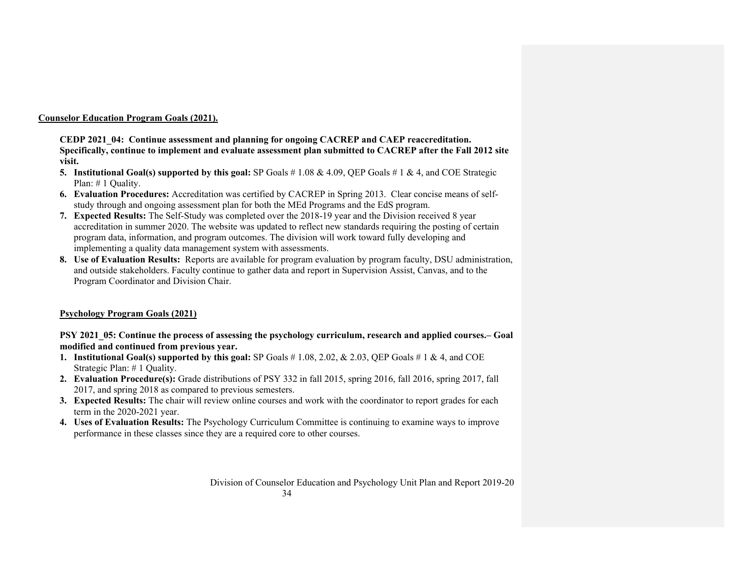#### **Counselor Education Program Goals (2021).**

**CEDP 2021\_04: Continue assessment and planning for ongoing CACREP and CAEP reaccreditation. Specifically, continue to implement and evaluate assessment plan submitted to CACREP after the Fall 2012 site visit.** 

- **5. Institutional Goal(s) supported by this goal:** SP Goals # 1.08 & 4.09, QEP Goals # 1 & 4, and COE Strategic Plan: # 1 Quality.
- **6. Evaluation Procedures:** Accreditation was certified by CACREP in Spring 2013. Clear concise means of selfstudy through and ongoing assessment plan for both the MEd Programs and the EdS program.
- **7. Expected Results:** The Self-Study was completed over the 2018-19 year and the Division received 8 year accreditation in summer 2020. The website was updated to reflect new standards requiring the posting of certain program data, information, and program outcomes. The division will work toward fully developing and implementing a quality data management system with assessments.
- **8. Use of Evaluation Results:** Reports are available for program evaluation by program faculty, DSU administration, and outside stakeholders. Faculty continue to gather data and report in Supervision Assist, Canvas, and to the Program Coordinator and Division Chair.

#### **Psychology Program Goals (2021)**

**PSY 2021\_05: Continue the process of assessing the psychology curriculum, research and applied courses.– Goal modified and continued from previous year.**

- **1. Institutional Goal(s) supported by this goal:** SP Goals # 1.08, 2.02, & 2.03, QEP Goals # 1 & 4, and COE Strategic Plan: # 1 Quality.
- **2. Evaluation Procedure(s):** Grade distributions of PSY 332 in fall 2015, spring 2016, fall 2016, spring 2017, fall 2017, and spring 2018 as compared to previous semesters.
- **3. Expected Results:** The chair will review online courses and work with the coordinator to report grades for each term in the 2020-2021 year.
- **4. Uses of Evaluation Results:** The Psychology Curriculum Committee is continuing to examine ways to improve performance in these classes since they are a required core to other courses.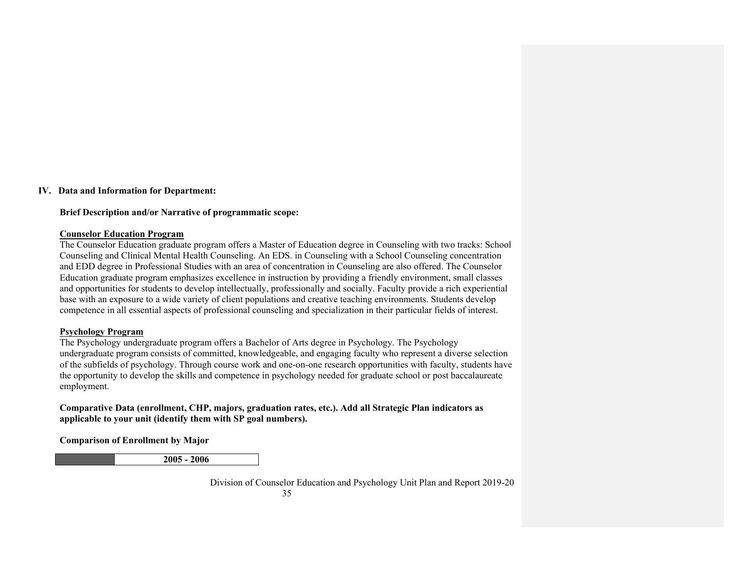#### **IV. Data and Information for Department:**

**Brief Description and/or Narrative of programmatic scope:**

#### **Counselor Education Program**

The Counselor Education graduate program offers a Master of Education degree in Counseling with two tracks: School Counseling and Clinical Mental Health Counseling. An EDS. in Counseling with a School Counseling concentration and EDD degree in Professional Studies with an area of concentration in Counseling are also offered. The Counselor Education graduate program emphasizes excellence in instruction by providing a friendly environment, small classes and opportunities for students to develop intellectually, professionally and socially. Faculty provide a rich experiential base with an exposure to a wide variety of client populations and creative teaching environments. Students develop competence in all essential aspects of professional counseling and specialization in their particular fields of interest.

#### **Psychology Program**

The Psychology undergraduate program offers a Bachelor of Arts degree in Psychology. The Psychology undergraduate program consists of committed, knowledgeable, and engaging faculty who represent a diverse selection of the subfields of psychology. Through course work and one-on-one research opportunities with faculty, students have the opportunity to develop the skills and competence in psychology needed for graduate school or post baccalaureate employment.

#### **Comparative Data (enrollment, CHP, majors, graduation rates, etc.). Add all Strategic Plan indicators as applicable to your unit (identify them with SP goal numbers).**

**Comparison of Enrollment by Major**

**2005 - 2006**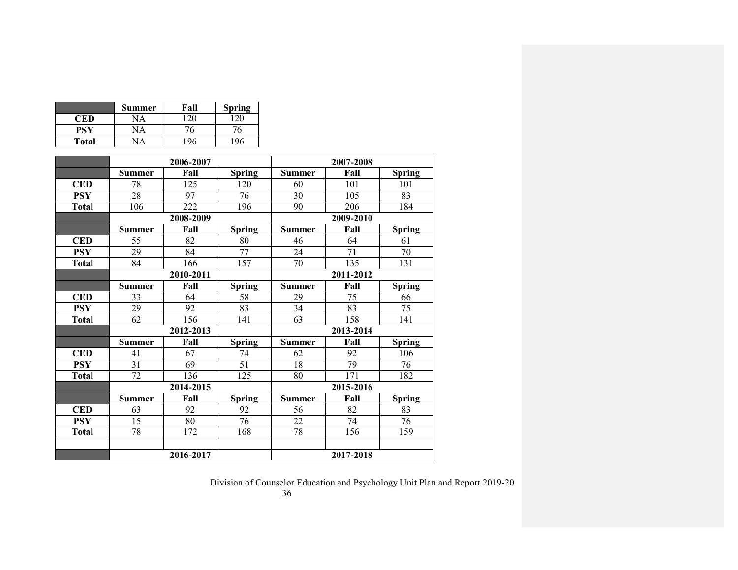|              | <b>Summer</b> | Fall | <b>Spring</b> |
|--------------|---------------|------|---------------|
| CED          | NA            | 120  |               |
| PSY          | NА            | 76   |               |
| <b>Total</b> |               |      |               |

|              |               | 2006-2007             |               |               | 2007-2008 |               |
|--------------|---------------|-----------------------|---------------|---------------|-----------|---------------|
|              | <b>Summer</b> | Fall                  | <b>Spring</b> | <b>Summer</b> | Fall      | <b>Spring</b> |
| <b>CED</b>   | 78            | 125                   | 120           | 60            | 101       | 101           |
| <b>PSY</b>   | 28            | 97                    | 76            | 30            | 105       | 83            |
| <b>Total</b> | 106           | 222                   | 196           | 90            | 206       | 184           |
|              |               | 2008-2009             |               |               | 2009-2010 |               |
|              | <b>Summer</b> | <b>Spring</b><br>Fall |               | <b>Summer</b> | Fall      | <b>Spring</b> |
| <b>CED</b>   | 55            | 82                    | 80            | 46            | 64        | 61            |
| <b>PSY</b>   | 29            | 84                    | 77            | 24            | 71        | 70            |
| <b>Total</b> | 84            | 166                   | 157           | 70            | 135       | 131           |
|              |               | 2010-2011             |               |               | 2011-2012 |               |
|              | <b>Summer</b> | Fall                  | <b>Spring</b> | <b>Summer</b> | Fall      | <b>Spring</b> |
| <b>CED</b>   | 33            | 64                    | 58            | 29            | 75        | 66            |
| <b>PSY</b>   | 29            | 92                    | 83            | 34            | 83        | 75            |
| <b>Total</b> | 62            | 156                   | 141           | 63            | 158       | 141           |
|              |               | 2012-2013             |               |               | 2013-2014 |               |
|              | <b>Summer</b> | Fall                  | <b>Spring</b> | <b>Summer</b> | Fall      | <b>Spring</b> |
| <b>CED</b>   | 41            | 67                    | 74            | 62            | 92        | 106           |
| <b>PSY</b>   | 31            | 69                    | 51            | 18            | 79        | 76            |
| <b>Total</b> | 72            | 136                   | 125           | 80            | 171       | 182           |
|              |               | 2014-2015             |               |               | 2015-2016 |               |
|              | <b>Summer</b> | Fall                  | <b>Spring</b> | <b>Summer</b> | Fall      | <b>Spring</b> |
| <b>CED</b>   | 63            | 92                    | 92            | 56            | 82        | 83            |
| <b>PSY</b>   | 15            | 80                    | 76            | 22            | 74        | 76            |
| <b>Total</b> | 78            | 172                   | 168           | 78            | 156       | 159           |
|              |               |                       |               |               |           |               |
|              |               | 2016-2017             |               |               | 2017-2018 |               |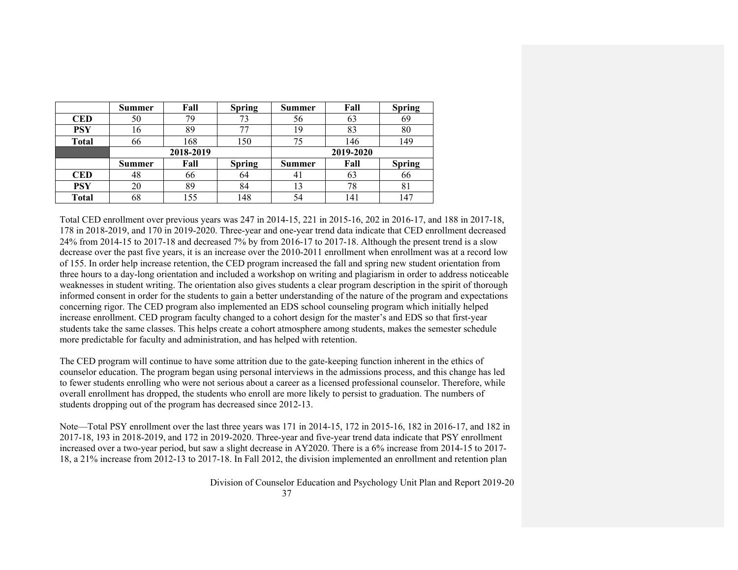|              | <b>Summer</b> | Fall      | <b>Spring</b> | <b>Summer</b> | Fall      | <b>Spring</b> |
|--------------|---------------|-----------|---------------|---------------|-----------|---------------|
| CED          | 50            | 79        |               | 56            | 63        | 69            |
| <b>PSY</b>   | 16            | 89        |               | 19            | 83        | 80            |
| <b>Total</b> | 66            | 168       | 150           | 75            | 146       | 149           |
|              |               | 2018-2019 |               |               | 2019-2020 |               |
|              | <b>Summer</b> | Fall      | <b>Spring</b> | <b>Summer</b> | Fall      | <b>Spring</b> |
| <b>CED</b>   | 48            | 66        | 64            | 41            | 63        | 66            |
| <b>PSY</b>   | 20            | 89        | 84            | 13            | 78        | 81            |
| <b>Total</b> | 68            | 155       | 148           | 54            | 141       | 47            |

Total CED enrollment over previous years was 247 in 2014-15, 221 in 2015-16, 202 in 2016-17, and 188 in 2017-18, 178 in 2018-2019, and 170 in 2019-2020. Three-year and one-year trend data indicate that CED enrollment decreased 24% from 2014-15 to 2017-18 and decreased 7% by from 2016-17 to 2017-18. Although the present trend is a slow decrease over the past five years, it is an increase over the 2010-2011 enrollment when enrollment was at a record low of 155. In order help increase retention, the CED program increased the fall and spring new student orientation from three hours to a day-long orientation and included a workshop on writing and plagiarism in order to address noticeable weaknesses in student writing. The orientation also gives students a clear program description in the spirit of thorough informed consent in order for the students to gain a better understanding of the nature of the program and expectations concerning rigor. The CED program also implemented an EDS school counseling program which initially helped increase enrollment. CED program faculty changed to a cohort design for the master's and EDS so that first-year students take the same classes. This helps create a cohort atmosphere among students, makes the semester schedule more predictable for faculty and administration, and has helped with retention.

The CED program will continue to have some attrition due to the gate-keeping function inherent in the ethics of counselor education. The program began using personal interviews in the admissions process, and this change has led to fewer students enrolling who were not serious about a career as a licensed professional counselor. Therefore, while overall enrollment has dropped, the students who enroll are more likely to persist to graduation. The numbers of students dropping out of the program has decreased since 2012-13.

Note—Total PSY enrollment over the last three years was 171 in 2014-15, 172 in 2015-16, 182 in 2016-17, and 182 in 2017-18, 193 in 2018-2019, and 172 in 2019-2020. Three-year and five-year trend data indicate that PSY enrollment increased over a two-year period, but saw a slight decrease in AY2020. There is a 6% increase from 2014-15 to 2017- 18, a 21% increase from 2012-13 to 2017-18. In Fall 2012, the division implemented an enrollment and retention plan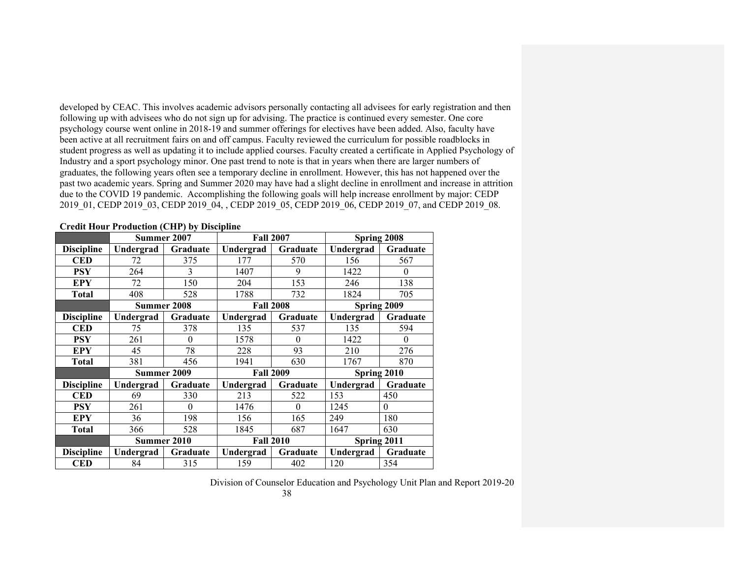developed by CEAC. This involves academic advisors personally contacting all advisees for early registration and then following up with advisees who do not sign up for advising. The practice is continued every semester. One core psychology course went online in 2018-19 and summer offerings for electives have been added. Also, faculty have been active at all recruitment fairs on and off campus. Faculty reviewed the curriculum for possible roadblocks in student progress as well as updating it to include applied courses. Faculty created a certificate in Applied Psychology of Industry and a sport psychology minor. One past trend to note is that in years when there are larger numbers of graduates, the following years often see a temporary decline in enrollment. However, this has not happened over the past two academic years. Spring and Summer 2020 may have had a slight decline in enrollment and increase in attrition due to the COVID 19 pandemic. Accomplishing the following goals will help increase enrollment by major: CEDP 2019\_01, CEDP 2019\_03, CEDP 2019\_04, , CEDP 2019\_05, CEDP 2019\_06, CEDP 2019\_07, and CEDP 2019\_08.

|                   | Summer 2007        |                 | <b>Fall 2007</b> |          |             | Spring 2008 |  |
|-------------------|--------------------|-----------------|------------------|----------|-------------|-------------|--|
| <b>Discipline</b> | Undergrad          | <b>Graduate</b> | Undergrad        | Graduate | Undergrad   | Graduate    |  |
| <b>CED</b>        | 72                 | 375             | 177              | 570      | 156         | 567         |  |
| <b>PSY</b>        | 264                | 3               | 1407             | 9        | 1422        | $\Omega$    |  |
| <b>EPY</b>        | 72                 | 150             | 204              | 153      | 246         | 138         |  |
| <b>Total</b>      | 408                | 528             | 1788             | 732      | 1824        | 705         |  |
|                   | <b>Summer 2008</b> |                 | <b>Fall 2008</b> |          |             | Spring 2009 |  |
| <b>Discipline</b> | Undergrad          | Graduate        | Undergrad        | Graduate | Undergrad   | Graduate    |  |
| <b>CED</b>        | 75                 | 378             | 135              | 537      | 135         | 594         |  |
| <b>PSY</b>        | 261                | $\theta$        | 1578             | $\theta$ | 1422        | $\theta$    |  |
| <b>EPY</b>        | 45                 | 78              | 228              | 93       | 210         | 276         |  |
| <b>Total</b>      | 381                | 456             | 1941             | 630      | 1767        | 870         |  |
|                   |                    | Summer 2009     | <b>Fall 2009</b> |          | Spring 2010 |             |  |
| <b>Discipline</b> | Undergrad          | Graduate        | Undergrad        | Graduate | Undergrad   | Graduate    |  |
| <b>CED</b>        | 69                 | 330             | 213              | 522      | 153         | 450         |  |
| <b>PSY</b>        | 261                | $\theta$        | 1476             | $\theta$ | 1245        | $\theta$    |  |
| <b>EPY</b>        | 36                 | 198             | 156              | 165      | 249         | 180         |  |
| <b>Total</b>      | 366                | 528             | 1845             | 687      | 1647        | 630         |  |
|                   | Summer 2010        |                 | <b>Fall 2010</b> |          | Spring 2011 |             |  |
| <b>Discipline</b> | Undergrad          | Graduate        | Undergrad        | Graduate | Undergrad   | Graduate    |  |
| <b>CED</b>        | 84                 | 315             | 159              | 402      | 120         | 354         |  |

#### **Credit Hour Production (CHP) by Discipline**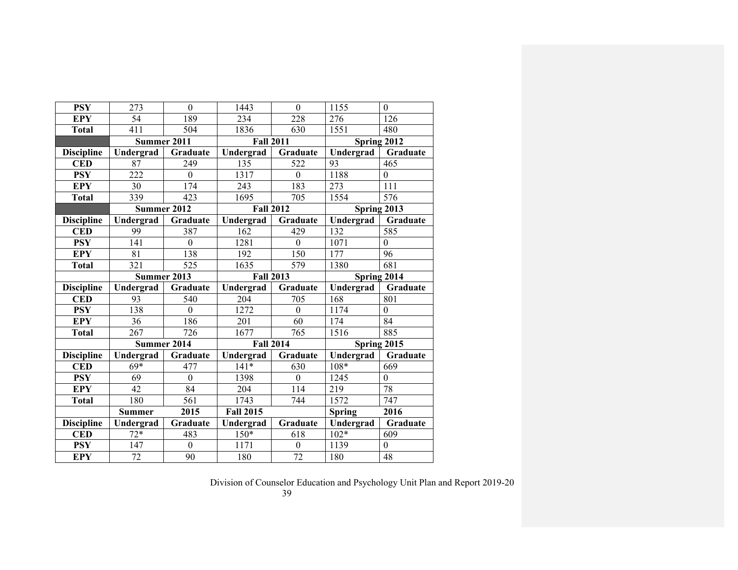| <b>PSY</b>        | 273           | $\theta$         | 1443             | $\theta$         | 1155          | $\mathbf{0}$     |
|-------------------|---------------|------------------|------------------|------------------|---------------|------------------|
| <b>EPY</b>        | 54            | 189              | 234              | 228              | 276           | 126              |
| <b>Total</b>      | 411           | 504              | 1836             | 630              | 1551          | 480              |
|                   | Summer 2011   |                  | <b>Fall 2011</b> |                  |               | Spring $2012$    |
| <b>Discipline</b> | Undergrad     | Graduate         | Undergrad        | Graduate         | Undergrad     | Graduate         |
| <b>CED</b>        | 87            | 249              | 135              | 522              | 93            | 465              |
| <b>PSY</b>        | 222           | $\theta$         | 1317             | $\theta$         | 1188          | $\mathbf{0}$     |
| <b>EPY</b>        | 30            | 174              | 243              | 183              | 273           | 111              |
| <b>Total</b>      | 339           | 423              | 1695             | 705              | 1554          | 576              |
|                   | Summer 2012   |                  | <b>Fall 2012</b> |                  |               | Spring 2013      |
| <b>Discipline</b> | Undergrad     | Graduate         | Undergrad        | Graduate         | Undergrad     | Graduate         |
| <b>CED</b>        | 99            | 387              | 162              | 429              | 132           | 585              |
| <b>PSY</b>        | 141           | $\theta$         | 1281             | $\theta$         | 1071          | $\mathbf{0}$     |
| <b>EPY</b>        | 81            | 138              | 192              | 150              | 177           | $\overline{96}$  |
| <b>Total</b>      | 321           | $\overline{525}$ | 1635             | 579              | 1380          | 681              |
|                   | Summer 2013   |                  | <b>Fall 2013</b> |                  |               | Spring 2014      |
|                   |               |                  |                  |                  |               |                  |
| <b>Discipline</b> | Undergrad     | Graduate         | Undergrad        | Graduate         | Undergrad     | Graduate         |
| <b>CED</b>        | 93            | 540              | 204              | 705              | 168           | 801              |
| <b>PSY</b>        | 138           | $\mathbf{0}$     | 1272             | $\theta$         | 1174          | $\mathbf{0}$     |
| <b>EPY</b>        | 36            | 186              | 201              | 60               | 174           | $\overline{84}$  |
| <b>Total</b>      | 267           | $\overline{726}$ | 1677             | $\overline{765}$ | 1516          | 885              |
|                   | Summer 2014   |                  | <b>Fall 2014</b> |                  |               | Spring 2015      |
| <b>Discipline</b> | Undergrad     | Graduate         | Undergrad        | Graduate         | Undergrad     | Graduate         |
| <b>CED</b>        | $69*$         | 477              | $141*$           | 630              | $108*$        | 669              |
| <b>PSY</b>        | 69            | $\theta$         | 1398             | $\theta$         | 1245          | $\boldsymbol{0}$ |
| <b>EPY</b>        | 42            | 84               | 204              | 114              | 219           | 78               |
| <b>Total</b>      | 180           | 561              | 1743             | 744              | 1572          | $\overline{747}$ |
|                   | <b>Summer</b> | 2015             | <b>Fall 2015</b> |                  | <b>Spring</b> | 2016             |
| <b>Discipline</b> | Undergrad     | Graduate         | Undergrad        | Graduate         | Undergrad     | <b>Graduate</b>  |
| <b>CED</b>        | $72*$         | 483              | $150*$           | 618              | $102*$        | 609              |
| <b>PSY</b>        | 147<br>72     | $\mathbf{0}$     | 1171             | $\boldsymbol{0}$ | 1139          | $\boldsymbol{0}$ |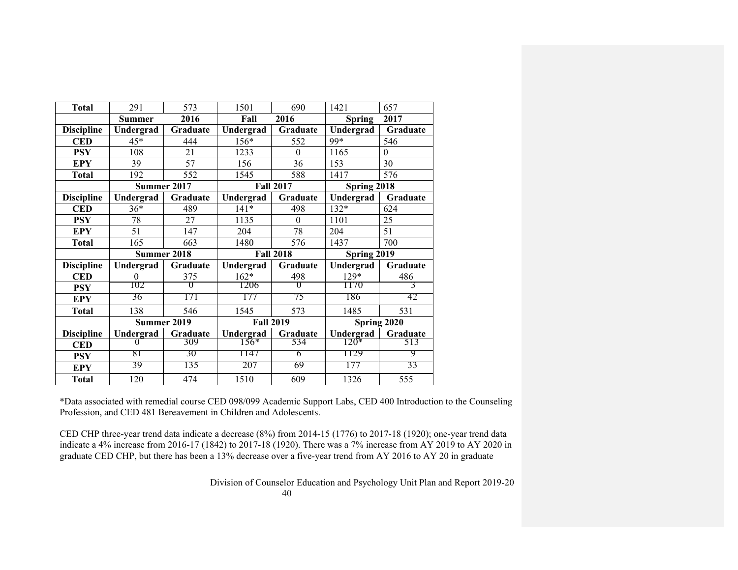| <b>Total</b>      | 291              | 573      | 1501             | 690              | 1421                                 | 657          |  |  |
|-------------------|------------------|----------|------------------|------------------|--------------------------------------|--------------|--|--|
|                   | <b>Summer</b>    | 2016     | Fall             | 2016             | <b>Spring</b>                        | 2017         |  |  |
| <b>Discipline</b> | Undergrad        | Graduate | Undergrad        | Graduate         | Undergrad                            | Graduate     |  |  |
| <b>CED</b>        | $45*$            | 444      | 156*             | 552              | $99*$                                | 546          |  |  |
| <b>PSY</b>        | 108              | 21       | 1233             | $\overline{0}$   | 1165                                 | $\mathbf{0}$ |  |  |
| <b>EPY</b>        | 39               | 57       | 156              | 36               | 153                                  | 30           |  |  |
| <b>Total</b>      | 192              | 552      | 1545             | 588              | 1417                                 | 576          |  |  |
|                   | Summer 2017      |          |                  | <b>Fall 2017</b> | Spring 2018                          |              |  |  |
| <b>Discipline</b> | Undergrad        | Graduate | Undergrad        | Graduate         | Undergrad                            | Graduate     |  |  |
| <b>CED</b>        | $36*$            | 489      | $141*$           | 498              | 132*                                 | 624          |  |  |
| <b>PSY</b>        | 78               | 27       | 1135             | $\theta$         | 1101                                 | 25           |  |  |
| <b>EPY</b>        | 51               | 147      | 204              | 78               | 204                                  | 51           |  |  |
| <b>Total</b>      | 165              | 663      | 1480             | 576              | 1437                                 | 700          |  |  |
|                   | Summer 2018      |          | <b>Fall 2018</b> |                  | Spring 2019                          |              |  |  |
| <b>Discipline</b> | Undergrad        | Graduate | Undergrad        | Graduate         | Undergrad                            | Graduate     |  |  |
| <b>CED</b>        | $\boldsymbol{0}$ | 375      | $162*$           | 498              | 129*                                 | 486          |  |  |
| <b>PSY</b>        | 102              | 0        | 1206             | $\theta$         | 1170                                 |              |  |  |
| <b>EPY</b>        | 36               | 171      | 177              | 75               | 186                                  | 42           |  |  |
| <b>Total</b>      | 138              | 546      | 1545             | 573              | 1485                                 | 531          |  |  |
|                   | Summer 2019      |          |                  | <b>Fall 2019</b> |                                      | Spring 2020  |  |  |
| <b>Discipline</b> | Undergrad        | Graduate | Undergrad        | Graduate         | $\frac{\text{Understanding}}{120^*}$ | Graduate     |  |  |
| <b>CED</b>        | $_{0}$           | 309      | 156*             | 534              |                                      | 513          |  |  |
| <b>PSY</b>        | 81               | 30       | 1147             | 6                | 1129                                 | 9            |  |  |
| <b>EPY</b>        | 39               | 135      | 207              | 69               | 177                                  | 33           |  |  |
| <b>Total</b>      | 120              | 474      | 1510             | 609              | 1326                                 | 555          |  |  |

\*Data associated with remedial course CED 098/099 Academic Support Labs, CED 400 Introduction to the Counseling Profession, and CED 481 Bereavement in Children and Adolescents.

CED CHP three-year trend data indicate a decrease (8%) from 2014-15 (1776) to 2017-18 (1920); one-year trend data indicate a 4% increase from 2016-17 (1842) to 2017-18 (1920). There was a 7% increase from AY 2019 to AY 2020 in graduate CED CHP, but there has been a 13% decrease over a five-year trend from AY 2016 to AY 20 in graduate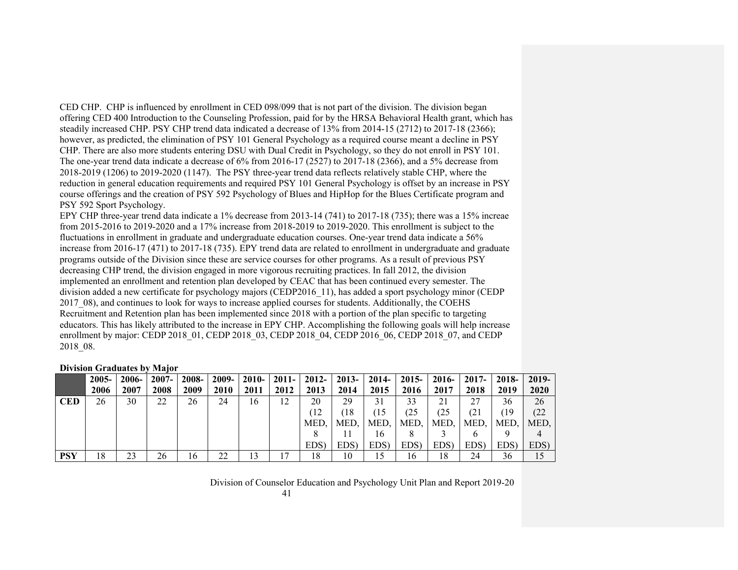CED CHP. CHP is influenced by enrollment in CED 098/099 that is not part of the division. The division began offering CED 400 Introduction to the Counseling Profession, paid for by the HRSA Behavioral Health grant, which has steadily increased CHP. PSY CHP trend data indicated a decrease of 13% from 2014-15 (2712) to 2017-18 (2366); however, as predicted, the elimination of PSY 101 General Psychology as a required course meant a decline in PSY CHP. There are also more students entering DSU with Dual Credit in Psychology, so they do not enroll in PSY 101. The one-year trend data indicate a decrease of 6% from 2016-17 (2527) to 2017-18 (2366), and a 5% decrease from 2018-2019 (1206) to 2019-2020 (1147). The PSY three-year trend data reflects relatively stable CHP, where the reduction in general education requirements and required PSY 101 General Psychology is offset by an increase in PSY course offerings and the creation of PSY 592 Psychology of Blues and HipHop for the Blues Certificate program and PSY 592 Sport Psychology.

EPY CHP three-year trend data indicate a 1% decrease from 2013-14 (741) to 2017-18 (735); there was a 15% increae from 2015-2016 to 2019-2020 and a 17% increase from 2018-2019 to 2019-2020. This enrollment is subject to the fluctuations in enrollment in graduate and undergraduate education courses. One-year trend data indicate a 56% increase from 2016-17 (471) to 2017-18 (735). EPY trend data are related to enrollment in undergraduate and graduate programs outside of the Division since these are service courses for other programs. As a result of previous PSY decreasing CHP trend, the division engaged in more vigorous recruiting practices. In fall 2012, the division implemented an enrollment and retention plan developed by CEAC that has been continued every semester. The division added a new certificate for psychology majors (CEDP2016\_11), has added a sport psychology minor (CEDP 2017\_08), and continues to look for ways to increase applied courses for students. Additionally, the COEHS Recruitment and Retention plan has been implemented since 2018 with a portion of the plan specific to targeting educators. This has likely attributed to the increase in EPY CHP. Accomplishing the following goals will help increase enrollment by major: CEDP 2018 01, CEDP 2018 03, CEDP 2018 04, CEDP 2016 06, CEDP 2018 07, and CEDP 2018\_08.

|            | 2005- | 2006- | $2007 -$ | 2008- | 2009- | $2010-$    | $2011 -$ | $2012 -$         | $2013-$ | $2014-$ | $2015 -$ | 2016- | $2017 -$         | 2018- | $2019-$ |
|------------|-------|-------|----------|-------|-------|------------|----------|------------------|---------|---------|----------|-------|------------------|-------|---------|
|            | 2006  | 2007  | 2008     | 2009  | 2010  | 2011       | 2012     | 2013             | 2014    | 2015    | 2016     | 2017  | 2018             | 2019  | 2020    |
| <b>CED</b> | 26    | 30    | 22       | 26    | 24    | 16         | 12       | 20               | 29      | 31      | 33       | 21    | 27               | 36    | 26      |
|            |       |       |          |       |       |            |          | (12              | (18     | 15      | (25      | (25   | (21              | Ί9    | (22)    |
|            |       |       |          |       |       |            |          | MED.             | MED.    | MED,    | MED.     | MED,  | MED,             | MED.  | MED,    |
|            |       |       |          |       |       |            |          |                  |         | 16      |          |       |                  |       |         |
|            |       |       |          |       |       |            |          | EDS <sup>®</sup> | EDS)    | EDS)    | EDS)     | EDS)  | EDS <sup>'</sup> | EDS)  | EDS)    |
| PSY        | 18    | 23    | 26       | 16    | 22    | $\sqrt{2}$ | 17       | 18               | 10      | 15      | 16       | 18    | 24               | 36    | 15      |

**Division Graduates by Major**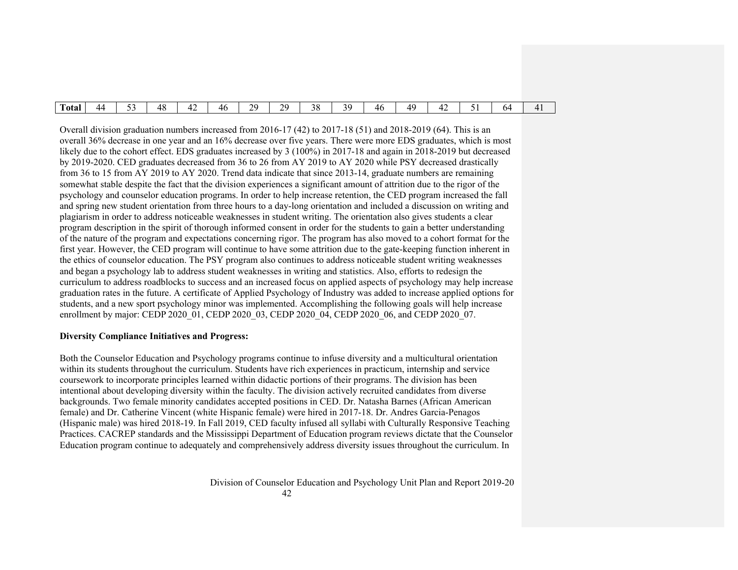| $\sim$<br>. .<br>$\sim$<br>$\sim$<br>- -<br>--<br>. .       |        |    |  |    |    |              |     |    |      |  |    |  |
|-------------------------------------------------------------|--------|----|--|----|----|--------------|-----|----|------|--|----|--|
| --<br>. .<br>-<br>◡<br>ັ<br>$\sim$ $\sim$<br>◡<br>. .<br>-- | ! otal | ΔД |  | 40 | 20 | $20^{\circ}$ | 4 Q | 46 | 71 V |  | n٤ |  |

Overall division graduation numbers increased from 2016-17 (42) to 2017-18 (51) and 2018-2019 (64). This is an overall 36% decrease in one year and an 16% decrease over five years. There were more EDS graduates, which is most likely due to the cohort effect. EDS graduates increased by 3 (100%) in 2017-18 and again in 2018-2019 but decreased by 2019-2020. CED graduates decreased from 36 to 26 from AY 2019 to AY 2020 while PSY decreased drastically from 36 to 15 from AY 2019 to AY 2020. Trend data indicate that since 2013-14, graduate numbers are remaining somewhat stable despite the fact that the division experiences a significant amount of attrition due to the rigor of the psychology and counselor education programs. In order to help increase retention, the CED program increased the fall and spring new student orientation from three hours to a day-long orientation and included a discussion on writing and plagiarism in order to address noticeable weaknesses in student writing. The orientation also gives students a clear program description in the spirit of thorough informed consent in order for the students to gain a better understanding of the nature of the program and expectations concerning rigor. The program has also moved to a cohort format for the first year. However, the CED program will continue to have some attrition due to the gate-keeping function inherent in the ethics of counselor education. The PSY program also continues to address noticeable student writing weaknesses and began a psychology lab to address student weaknesses in writing and statistics. Also, efforts to redesign the curriculum to address roadblocks to success and an increased focus on applied aspects of psychology may help increase graduation rates in the future. A certificate of Applied Psychology of Industry was added to increase applied options for students, and a new sport psychology minor was implemented. Accomplishing the following goals will help increase enrollment by major: CEDP 2020 01, CEDP 2020 03, CEDP 2020 04, CEDP 2020 06, and CEDP 2020 07.

#### **Diversity Compliance Initiatives and Progress:**

Both the Counselor Education and Psychology programs continue to infuse diversity and a multicultural orientation within its students throughout the curriculum. Students have rich experiences in practicum, internship and service coursework to incorporate principles learned within didactic portions of their programs. The division has been intentional about developing diversity within the faculty. The division actively recruited candidates from diverse backgrounds. Two female minority candidates accepted positions in CED. Dr. Natasha Barnes (African American female) and Dr. Catherine Vincent (white Hispanic female) were hired in 2017-18. Dr. Andres Garcia-Penagos (Hispanic male) was hired 2018-19. In Fall 2019, CED faculty infused all syllabi with Culturally Responsive Teaching Practices. CACREP standards and the Mississippi Department of Education program reviews dictate that the Counselor Education program continue to adequately and comprehensively address diversity issues throughout the curriculum. In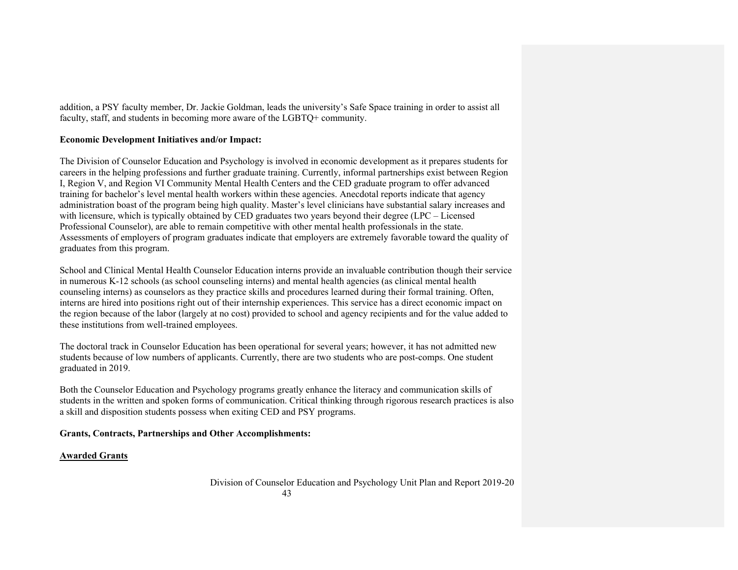addition, a PSY faculty member, Dr. Jackie Goldman, leads the university's Safe Space training in order to assist all faculty, staff, and students in becoming more aware of the LGBTQ+ community.

#### **Economic Development Initiatives and/or Impact:**

The Division of Counselor Education and Psychology is involved in economic development as it prepares students for careers in the helping professions and further graduate training. Currently, informal partnerships exist between Region I, Region V, and Region VI Community Mental Health Centers and the CED graduate program to offer advanced training for bachelor's level mental health workers within these agencies. Anecdotal reports indicate that agency administration boast of the program being high quality. Master's level clinicians have substantial salary increases and with licensure, which is typically obtained by CED graduates two years beyond their degree (LPC – Licensed Professional Counselor), are able to remain competitive with other mental health professionals in the state. Assessments of employers of program graduates indicate that employers are extremely favorable toward the quality of graduates from this program.

School and Clinical Mental Health Counselor Education interns provide an invaluable contribution though their service in numerous K-12 schools (as school counseling interns) and mental health agencies (as clinical mental health counseling interns) as counselors as they practice skills and procedures learned during their formal training. Often, interns are hired into positions right out of their internship experiences. This service has a direct economic impact on the region because of the labor (largely at no cost) provided to school and agency recipients and for the value added to these institutions from well-trained employees.

The doctoral track in Counselor Education has been operational for several years; however, it has not admitted new students because of low numbers of applicants. Currently, there are two students who are post-comps. One student graduated in 2019.

Both the Counselor Education and Psychology programs greatly enhance the literacy and communication skills of students in the written and spoken forms of communication. Critical thinking through rigorous research practices is also a skill and disposition students possess when exiting CED and PSY programs.

**Grants, Contracts, Partnerships and Other Accomplishments:** 

# **Awarded Grants**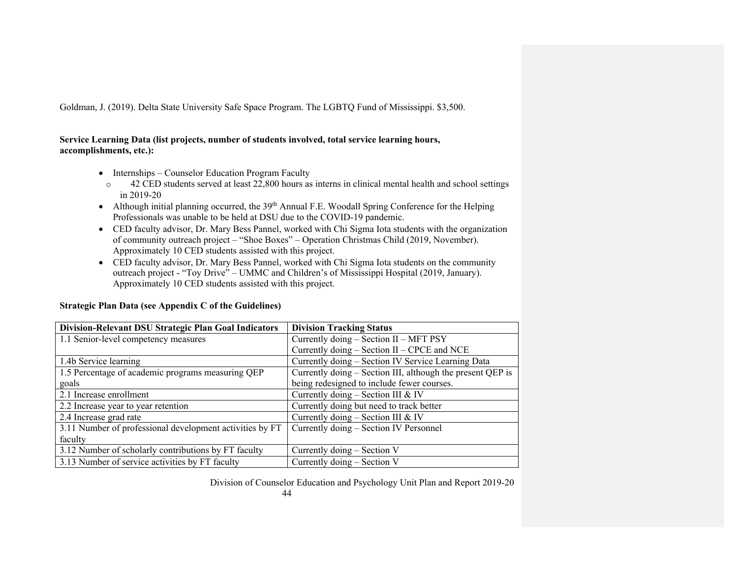Goldman, J. (2019). Delta State University Safe Space Program. The LGBTQ Fund of Mississippi. \$3,500.

# **Service Learning Data (list projects, number of students involved, total service learning hours, accomplishments, etc.):**

- Internships Counselor Education Program Faculty
- o 42 CED students served at least 22,800 hours as interns in clinical mental health and school settings in 2019-20
- Although initial planning occurred, the 39<sup>th</sup> Annual F.E. Woodall Spring Conference for the Helping Professionals was unable to be held at DSU due to the COVID-19 pandemic.
- CED faculty advisor, Dr. Mary Bess Pannel, worked with Chi Sigma Iota students with the organization of community outreach project – "Shoe Boxes" – Operation Christmas Child (2019, November). Approximately 10 CED students assisted with this project.
- CED faculty advisor, Dr. Mary Bess Pannel, worked with Chi Sigma Iota students on the community outreach project - "Toy Drive" – UMMC and Children's of Mississippi Hospital (2019, January). Approximately 10 CED students assisted with this project.

| Strategic Plan Data (see Appendix C of the Guidelines) |  |  |
|--------------------------------------------------------|--|--|
|                                                        |  |  |

| Division-Relevant DSU Strategic Plan Goal Indicators     | <b>Division Tracking Status</b>                            |
|----------------------------------------------------------|------------------------------------------------------------|
| 1.1 Senior-level competency measures                     | Currently doing – Section II – MFT PSY                     |
|                                                          | Currently doing – Section II – CPCE and NCE                |
| 1.4b Service learning                                    | Currently doing – Section IV Service Learning Data         |
| 1.5 Percentage of academic programs measuring QEP        | Currently doing - Section III, although the present QEP is |
| goals                                                    | being redesigned to include fewer courses.                 |
| 2.1 Increase enrollment                                  | Currently doing - Section III & IV                         |
| 2.2 Increase year to year retention                      | Currently doing but need to track better                   |
| 2.4 Increase grad rate                                   | Currently doing – Section III & IV                         |
| 3.11 Number of professional development activities by FT | Currently doing - Section IV Personnel                     |
| faculty                                                  |                                                            |
| 3.12 Number of scholarly contributions by FT faculty     | Currently doing – Section V                                |
| 3.13 Number of service activities by FT faculty          | Currently doing - Section V                                |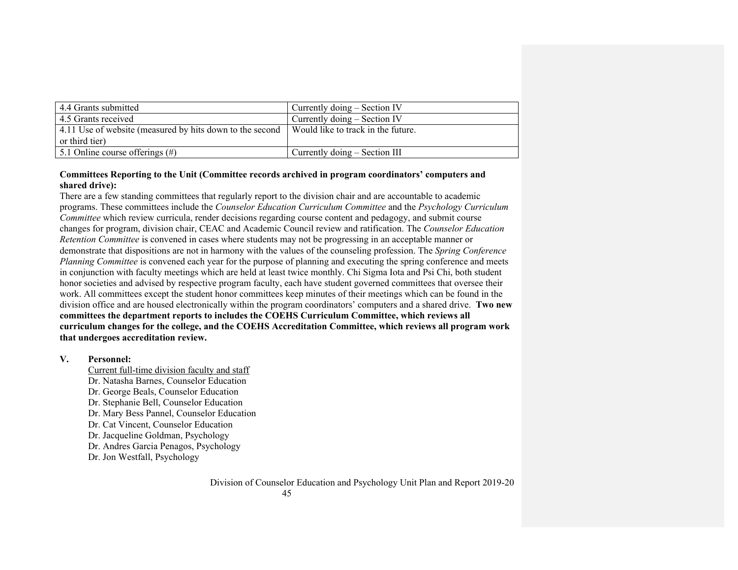| 4.4 Grants submitted                                     | Currently doing – Section IV       |
|----------------------------------------------------------|------------------------------------|
| 4.5 Grants received                                      | Currently doing – Section IV       |
| 4.11 Use of website (measured by hits down to the second | Would like to track in the future. |
| or third tier)                                           |                                    |
| 5.1 Online course offerings $(\#)$                       | Currently doing – Section III      |

#### **Committees Reporting to the Unit (Committee records archived in program coordinators' computers and shared drive):**

There are a few standing committees that regularly report to the division chair and are accountable to academic programs. These committees include the *Counselor Education Curriculum Committee* and the *Psychology Curriculum Committee* which review curricula, render decisions regarding course content and pedagogy, and submit course changes for program, division chair, CEAC and Academic Council review and ratification. The *Counselor Education Retention Committee* is convened in cases where students may not be progressing in an acceptable manner or demonstrate that dispositions are not in harmony with the values of the counseling profession. The *Spring Conference Planning Committee* is convened each year for the purpose of planning and executing the spring conference and meets in conjunction with faculty meetings which are held at least twice monthly. Chi Sigma Iota and Psi Chi, both student honor societies and advised by respective program faculty, each have student governed committees that oversee their work. All committees except the student honor committees keep minutes of their meetings which can be found in the division office and are housed electronically within the program coordinators' computers and a shared drive. **Two new committees the department reports to includes the COEHS Curriculum Committee, which reviews all curriculum changes for the college, and the COEHS Accreditation Committee, which reviews all program work that undergoes accreditation review.**

#### **V. Personnel:**

Current full-time division faculty and staff Dr. Natasha Barnes, Counselor Education Dr. George Beals, Counselor Education Dr. Stephanie Bell, Counselor Education Dr. Mary Bess Pannel, Counselor Education Dr. Cat Vincent, Counselor Education Dr. Jacqueline Goldman, Psychology Dr. Andres Garcia Penagos, Psychology Dr. Jon Westfall, Psychology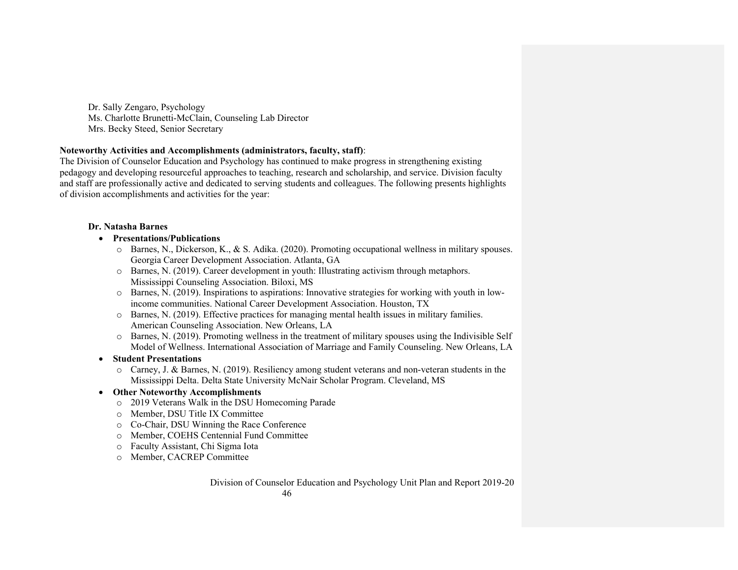Dr. Sally Zengaro, Psychology Ms. Charlotte Brunetti-McClain, Counseling Lab Director Mrs. Becky Steed, Senior Secretary

#### **Noteworthy Activities and Accomplishments (administrators, faculty, staff)**:

The Division of Counselor Education and Psychology has continued to make progress in strengthening existing pedagogy and developing resourceful approaches to teaching, research and scholarship, and service. Division faculty and staff are professionally active and dedicated to serving students and colleagues. The following presents highlights of division accomplishments and activities for the year:

# **Dr. Natasha Barnes**

# • **Presentations/Publications**

- o Barnes, N., Dickerson, K., & S. Adika. (2020). Promoting occupational wellness in military spouses. Georgia Career Development Association. Atlanta, GA
- o Barnes, N. (2019). Career development in youth: Illustrating activism through metaphors. Mississippi Counseling Association. Biloxi, MS
- o Barnes, N. (2019). Inspirations to aspirations: Innovative strategies for working with youth in lowincome communities. National Career Development Association. Houston, TX
- o Barnes, N. (2019). Effective practices for managing mental health issues in military families. American Counseling Association. New Orleans, LA
- o Barnes, N. (2019). Promoting wellness in the treatment of military spouses using the Indivisible Self Model of Wellness. International Association of Marriage and Family Counseling. New Orleans, LA
- **Student Presentations**
	- o Carney, J. & Barnes, N. (2019). Resiliency among student veterans and non-veteran students in the Mississippi Delta. Delta State University McNair Scholar Program. Cleveland, MS

# • **Other Noteworthy Accomplishments**

- o 2019 Veterans Walk in the DSU Homecoming Parade
- o Member, DSU Title IX Committee
- o Co-Chair, DSU Winning the Race Conference
- o Member, COEHS Centennial Fund Committee
- o Faculty Assistant, Chi Sigma Iota
- o Member, CACREP Committee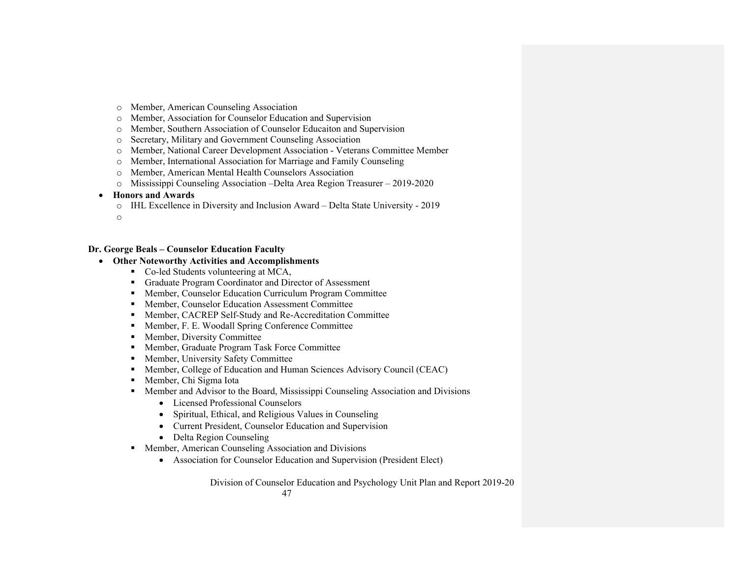- o Member, American Counseling Association
- o Member, Association for Counselor Education and Supervision
- o Member, Southern Association of Counselor Educaiton and Supervision
- o Secretary, Military and Government Counseling Association
- o Member, National Career Development Association Veterans Committee Member
- o Member, International Association for Marriage and Family Counseling
- o Member, American Mental Health Counselors Association
- o Mississippi Counseling Association –Delta Area Region Treasurer 2019-2020
- **Honors and Awards**
	- o IHL Excellence in Diversity and Inclusion Award Delta State University 2019
	- o

#### **Dr. George Beals – Counselor Education Faculty**

- **Other Noteworthy Activities and Accomplishments**
	- Co-led Students volunteering at MCA,
	- Graduate Program Coordinator and Director of Assessment
	- Member, Counselor Education Curriculum Program Committee
	- Member, Counselor Education Assessment Committee
	- Member, CACREP Self-Study and Re-Accreditation Committee
	- Member, F. E. Woodall Spring Conference Committee
	- Member, Diversity Committee
	- Member, Graduate Program Task Force Committee
	- Member, University Safety Committee
	- Member, College of Education and Human Sciences Advisory Council (CEAC)
	- Member, Chi Sigma Iota
	- Member and Advisor to the Board, Mississippi Counseling Association and Divisions
		- Licensed Professional Counselors
		- Spiritual, Ethical, and Religious Values in Counseling
		- Current President, Counselor Education and Supervision
		- Delta Region Counseling
	- Member, American Counseling Association and Divisions
		- Association for Counselor Education and Supervision (President Elect)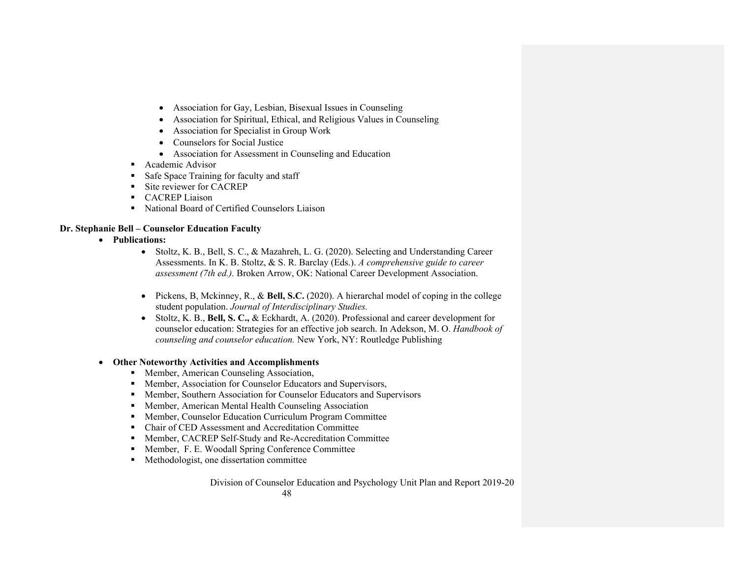- Association for Gay, Lesbian, Bisexual Issues in Counseling
- Association for Spiritual, Ethical, and Religious Values in Counseling
- Association for Specialist in Group Work
- Counselors for Social Justice
- Association for Assessment in Counseling and Education
- Academic Advisor
- Safe Space Training for faculty and staff
- Site reviewer for CACREP
- CACREP Liaison
- National Board of Certified Counselors Liaison

# **Dr. Stephanie Bell – Counselor Education Faculty**

- **Publications:**
	- Stoltz, K. B., Bell, S. C., & Mazahreh, L. G. (2020). Selecting and Understanding Career Assessments. In K. B. Stoltz, & S. R. Barclay (Eds.). *A comprehensive guide to career assessment (7th ed.).* Broken Arrow, OK: National Career Development Association.
	- Pickens, B, Mckinney, R., & **Bell, S.C.** (2020). A hierarchal model of coping in the college student population. *Journal of Interdisciplinary Studies.*
	- Stoltz, K. B., **Bell, S. C.,** & Eckhardt, A. (2020). Professional and career development for counselor education: Strategies for an effective job search. In Adekson, M. O. *Handbook of counseling and counselor education.* New York, NY: Routledge Publishing

#### • **Other Noteworthy Activities and Accomplishments**

- Member, American Counseling Association,
- Member, Association for Counselor Educators and Supervisors,
- Member, Southern Association for Counselor Educators and Supervisors
- Member, American Mental Health Counseling Association
- Member, Counselor Education Curriculum Program Committee
- Chair of CED Assessment and Accreditation Committee
- Member, CACREP Self-Study and Re-Accreditation Committee
- Member, F. E. Woodall Spring Conference Committee
- Methodologist, one dissertation committee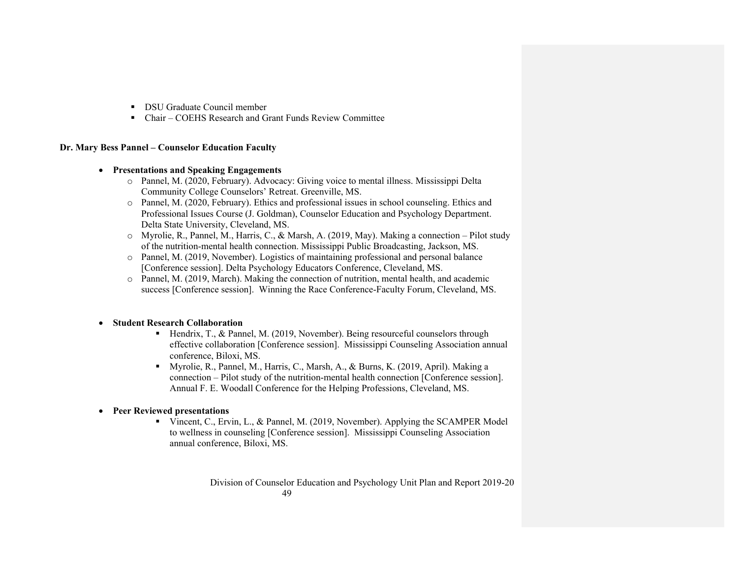- DSU Graduate Council member
- Chair COEHS Research and Grant Funds Review Committee

#### **Dr. Mary Bess Pannel – Counselor Education Faculty**

#### • **Presentations and Speaking Engagements**

- o Pannel, M. (2020, February). Advocacy: Giving voice to mental illness. Mississippi Delta Community College Counselors' Retreat. Greenville, MS.
- o Pannel, M. (2020, February). Ethics and professional issues in school counseling. Ethics and Professional Issues Course (J. Goldman), Counselor Education and Psychology Department. Delta State University, Cleveland, MS.
- o Myrolie, R., Pannel, M., Harris, C., & Marsh, A. (2019, May). Making a connection Pilot study of the nutrition-mental health connection. Mississippi Public Broadcasting, Jackson, MS.
- o Pannel, M. (2019, November). Logistics of maintaining professional and personal balance [Conference session]. Delta Psychology Educators Conference, Cleveland, MS.
- o Pannel, M. (2019, March). Making the connection of nutrition, mental health, and academic success [Conference session]. Winning the Race Conference-Faculty Forum, Cleveland, MS.

#### • **Student Research Collaboration**

- Hendrix, T., & Pannel, M. (2019, November). Being resourceful counselors through effective collaboration [Conference session]. Mississippi Counseling Association annual conference, Biloxi, MS.
- § Myrolie, R., Pannel, M., Harris, C., Marsh, A., & Burns, K. (2019, April). Making a connection – Pilot study of the nutrition-mental health connection [Conference session]. Annual F. E. Woodall Conference for the Helping Professions, Cleveland, MS.

#### • **Peer Reviewed presentations**

§ Vincent, C., Ervin, L., & Pannel, M. (2019, November). Applying the SCAMPER Model to wellness in counseling [Conference session]. Mississippi Counseling Association annual conference, Biloxi, MS.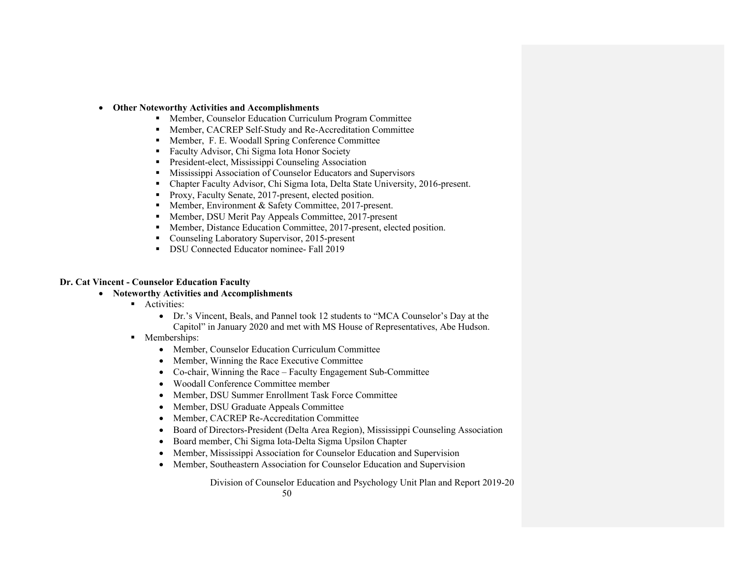#### • **Other Noteworthy Activities and Accomplishments**

- Member, Counselor Education Curriculum Program Committee
- § Member, CACREP Self-Study and Re-Accreditation Committee
- § Member, F. E. Woodall Spring Conference Committee
- Faculty Advisor, Chi Sigma Iota Honor Society
- § President-elect, Mississippi Counseling Association
- Mississippi Association of Counselor Educators and Supervisors
- Chapter Faculty Advisor, Chi Sigma Iota, Delta State University, 2016-present.
- Proxy, Faculty Senate, 2017-present, elected position.
- § Member, Environment & Safety Committee, 2017-present.
- Member, DSU Merit Pay Appeals Committee, 2017-present
- § Member, Distance Education Committee, 2017-present, elected position.
- Counseling Laboratory Supervisor, 2015-present
- DSU Connected Educator nominee- Fall 2019

#### **Dr. Cat Vincent - Counselor Education Faculty**

- **Noteworthy Activities and Accomplishments**
	- Activities:
		- Dr.'s Vincent, Beals, and Pannel took 12 students to "MCA Counselor's Day at the Capitol" in January 2020 and met with MS House of Representatives, Abe Hudson.
	- Memberships:
		- Member, Counselor Education Curriculum Committee
		- Member, Winning the Race Executive Committee
		- Co-chair, Winning the Race Faculty Engagement Sub-Committee
		- Woodall Conference Committee member
		- Member, DSU Summer Enrollment Task Force Committee
		- Member, DSU Graduate Appeals Committee
		- Member, CACREP Re-Accreditation Committee
		- Board of Directors-President (Delta Area Region), Mississippi Counseling Association
		- Board member, Chi Sigma Iota-Delta Sigma Upsilon Chapter
		- Member, Mississippi Association for Counselor Education and Supervision
		- Member, Southeastern Association for Counselor Education and Supervision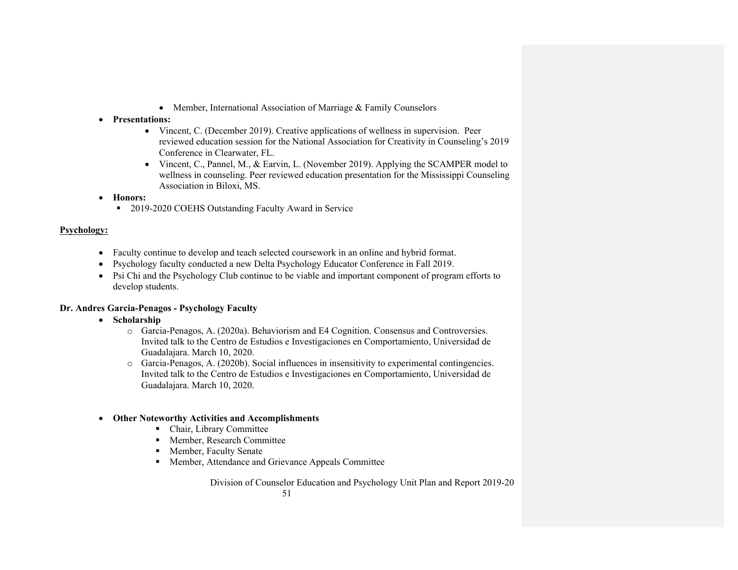• Member, International Association of Marriage & Family Counselors

#### • **Presentations:**

- Vincent, C. (December 2019). Creative applications of wellness in supervision. Peer reviewed education session for the National Association for Creativity in Counseling's 2019 Conference in Clearwater, FL.
- Vincent, C., Pannel, M., & Earvin, L. (November 2019). Applying the SCAMPER model to wellness in counseling. Peer reviewed education presentation for the Mississippi Counseling Association in Biloxi, MS.
- **Honors:**
	- 2019-2020 COEHS Outstanding Faculty Award in Service

# **Psychology:**

- Faculty continue to develop and teach selected coursework in an online and hybrid format.
- Psychology faculty conducted a new Delta Psychology Educator Conference in Fall 2019.
- Psi Chi and the Psychology Club continue to be viable and important component of program efforts to develop students.

# **Dr. Andres Garcia-Penagos - Psychology Faculty**

- **Scholarship**
	- o Garcia-Penagos, A. (2020a). Behaviorism and E4 Cognition. Consensus and Controversies. Invited talk to the Centro de Estudios e Investigaciones en Comportamiento, Universidad de Guadalajara. March 10, 2020.
	- o Garcia-Penagos, A. (2020b). Social influences in insensitivity to experimental contingencies. Invited talk to the Centro de Estudios e Investigaciones en Comportamiento, Universidad de Guadalajara. March 10, 2020.

# • **Other Noteworthy Activities and Accomplishments**

- Chair, Library Committee
- Member, Research Committee
- Member, Faculty Senate
- Member, Attendance and Grievance Appeals Committee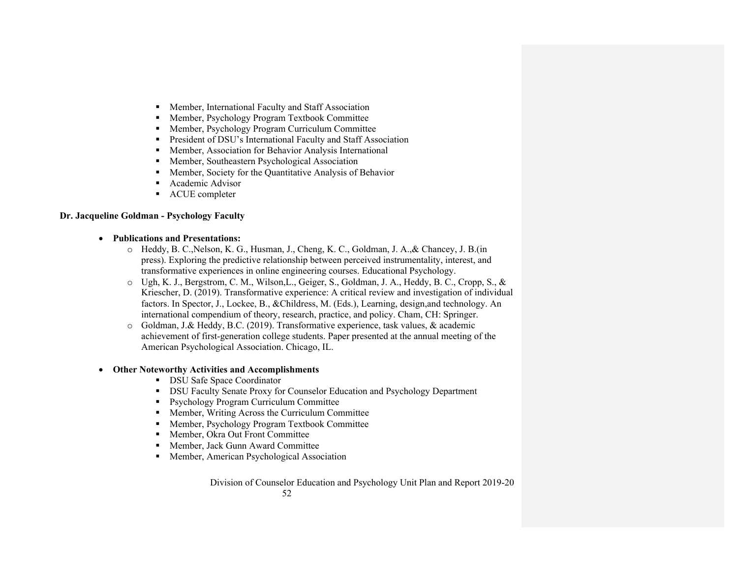- § Member, International Faculty and Staff Association
- Member, Psychology Program Textbook Committee
- § Member, Psychology Program Curriculum Committee
- President of DSU's International Faculty and Staff Association
- Member, Association for Behavior Analysis International
- § Member, Southeastern Psychological Association
- § Member, Society for the Quantitative Analysis of Behavior
- § Academic Advisor
- § ACUE completer

#### **Dr. Jacqueline Goldman - Psychology Faculty**

#### • **Publications and Presentations:**

- o Heddy, B. C.,Nelson, K. G., Husman, J., Cheng, K. C., Goldman, J. A.,& Chancey, J. B.(in press). Exploring the predictive relationship between perceived instrumentality, interest, and transformative experiences in online engineering courses. Educational Psychology.
- o Ugh, K. J., Bergstrom, C. M., Wilson,L., Geiger, S., Goldman, J. A., Heddy, B. C., Cropp, S., & Kriescher, D. (2019). Transformative experience: A critical review and investigation of individual factors. In Spector, J., Lockee, B., &Childress, M. (Eds.), Learning, design,and technology. An international compendium of theory, research, practice, and policy. Cham, CH: Springer.
- o Goldman, J.& Heddy, B.C. (2019). Transformative experience, task values, & academic achievement of first-generation college students. Paper presented at the annual meeting of the American Psychological Association. Chicago, IL.

# • **Other Noteworthy Activities and Accomplishments**

- DSU Safe Space Coordinator
- **DSU Faculty Senate Proxy for Counselor Education and Psychology Department**
- Psychology Program Curriculum Committee
- Member, Writing Across the Curriculum Committee
- Member, Psychology Program Textbook Committee
- Member, Okra Out Front Committee
- § Member, Jack Gunn Award Committee
- § Member, American Psychological Association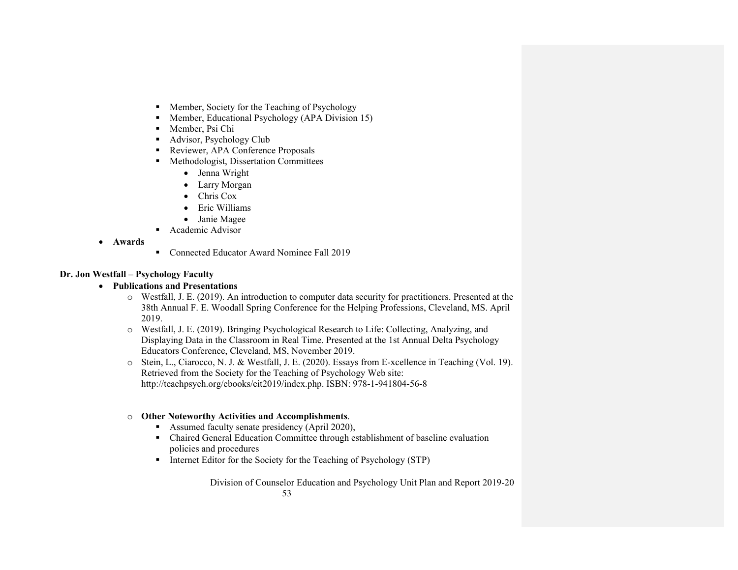- § Member, Society for the Teaching of Psychology
- Member, Educational Psychology (APA Division 15)
- Member, Psi Chi
- Advisor, Psychology Club
- Reviewer, APA Conference Proposals
- Methodologist, Dissertation Committees
	- Jenna Wright
	- Larry Morgan
	- Chris Cox
	- Eric Williams
	- Janie Magee
- Academic Advisor
- **Awards**
- Connected Educator Award Nominee Fall 2019

# **Dr. Jon Westfall – Psychology Faculty**

- **Publications and Presentations**
	- o Westfall, J. E. (2019). An introduction to computer data security for practitioners. Presented at the 38th Annual F. E. Woodall Spring Conference for the Helping Professions, Cleveland, MS. April 2019.
	- o Westfall, J. E. (2019). Bringing Psychological Research to Life: Collecting, Analyzing, and Displaying Data in the Classroom in Real Time. Presented at the 1st Annual Delta Psychology Educators Conference, Cleveland, MS, November 2019.
	- o Stein, L., Ciarocco, N. J. & Westfall, J. E. (2020). Essays from E-xcellence in Teaching (Vol. 19). Retrieved from the Society for the Teaching of Psychology Web site: http://teachpsych.org/ebooks/eit2019/index.php. ISBN: 978-1-941804-56-8

# o **Other Noteworthy Activities and Accomplishments**.

- Assumed faculty senate presidency (April 2020),
- Chaired General Education Committee through establishment of baseline evaluation policies and procedures
- Internet Editor for the Society for the Teaching of Psychology (STP)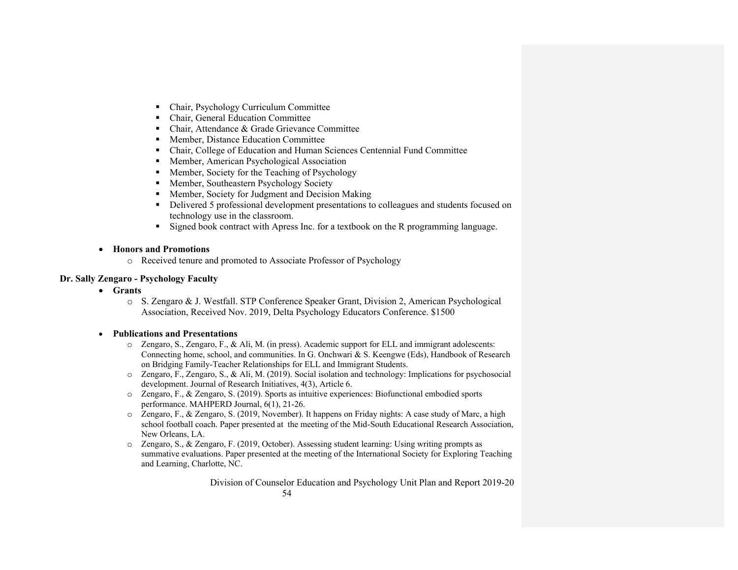- § Chair, Psychology Curriculum Committee
- Chair, General Education Committee
- Chair, Attendance & Grade Grievance Committee
- Member, Distance Education Committee
- § Chair, College of Education and Human Sciences Centennial Fund Committee
- Member, American Psychological Association
- Member, Society for the Teaching of Psychology
- Member, Southeastern Psychology Society
- § Member, Society for Judgment and Decision Making
- § Delivered 5 professional development presentations to colleagues and students focused on technology use in the classroom.
- § Signed book contract with Apress Inc. for a textbook on the R programming language.
- **Honors and Promotions**
	- o Received tenure and promoted to Associate Professor of Psychology

#### **Dr. Sally Zengaro - Psychology Faculty**

- **Grants**
	- o S. Zengaro & J. Westfall. STP Conference Speaker Grant, Division 2, American Psychological Association, Received Nov. 2019, Delta Psychology Educators Conference. \$1500
- **Publications and Presentations**
	- o Zengaro, S., Zengaro, F., & Ali, M. (in press). Academic support for ELL and immigrant adolescents: Connecting home, school, and communities. In G. Onchwari & S. Keengwe (Eds), Handbook of Research on Bridging Family-Teacher Relationships for ELL and Immigrant Students.
	- o Zengaro, F., Zengaro, S., & Ali, M. (2019). Social isolation and technology: Implications for psychosocial development. Journal of Research Initiatives, 4(3), Article 6.
	- o Zengaro, F., & Zengaro, S. (2019). Sports as intuitive experiences: Biofunctional embodied sports performance. MAHPERD Journal, 6(1), 21-26.
	- o Zengaro, F., & Zengaro, S. (2019, November). It happens on Friday nights: A case study of Marc, a high school football coach. Paper presented at the meeting of the Mid-South Educational Research Association, New Orleans, LA.
	- o Zengaro, S., & Zengaro, F. (2019, October). Assessing student learning: Using writing prompts as summative evaluations. Paper presented at the meeting of the International Society for Exploring Teaching and Learning, Charlotte, NC.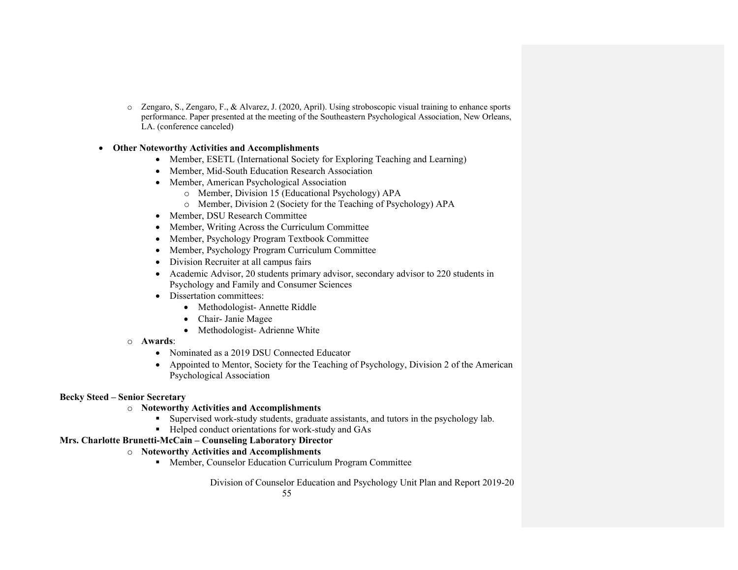o Zengaro, S., Zengaro, F., & Alvarez, J. (2020, April). Using stroboscopic visual training to enhance sports performance. Paper presented at the meeting of the Southeastern Psychological Association, New Orleans, LA. (conference canceled)

#### • **Other Noteworthy Activities and Accomplishments**

- Member, ESETL (International Society for Exploring Teaching and Learning)
- Member, Mid-South Education Research Association
- Member, American Psychological Association
	- o Member, Division 15 (Educational Psychology) APA
	- o Member, Division 2 (Society for the Teaching of Psychology) APA
- Member, DSU Research Committee
- Member, Writing Across the Curriculum Committee
- Member, Psychology Program Textbook Committee
- Member, Psychology Program Curriculum Committee
- Division Recruiter at all campus fairs
- Academic Advisor, 20 students primary advisor, secondary advisor to 220 students in Psychology and Family and Consumer Sciences
- Dissertation committees:
	- Methodologist-Annette Riddle
	- Chair- Janie Magee
	- Methodologist- Adrienne White
- o **Awards**:
	- Nominated as a 2019 DSU Connected Educator
	- Appointed to Mentor, Society for the Teaching of Psychology, Division 2 of the American Psychological Association

# **Becky Steed – Senior Secretary**

#### o **Noteworthy Activities and Accomplishments**

- Supervised work-study students, graduate assistants, and tutors in the psychology lab.
- Helped conduct orientations for work-study and GAs

# **Mrs. Charlotte Brunetti-McCain – Counseling Laboratory Director**

# o **Noteworthy Activities and Accomplishments**

■ Member, Counselor Education Curriculum Program Committee